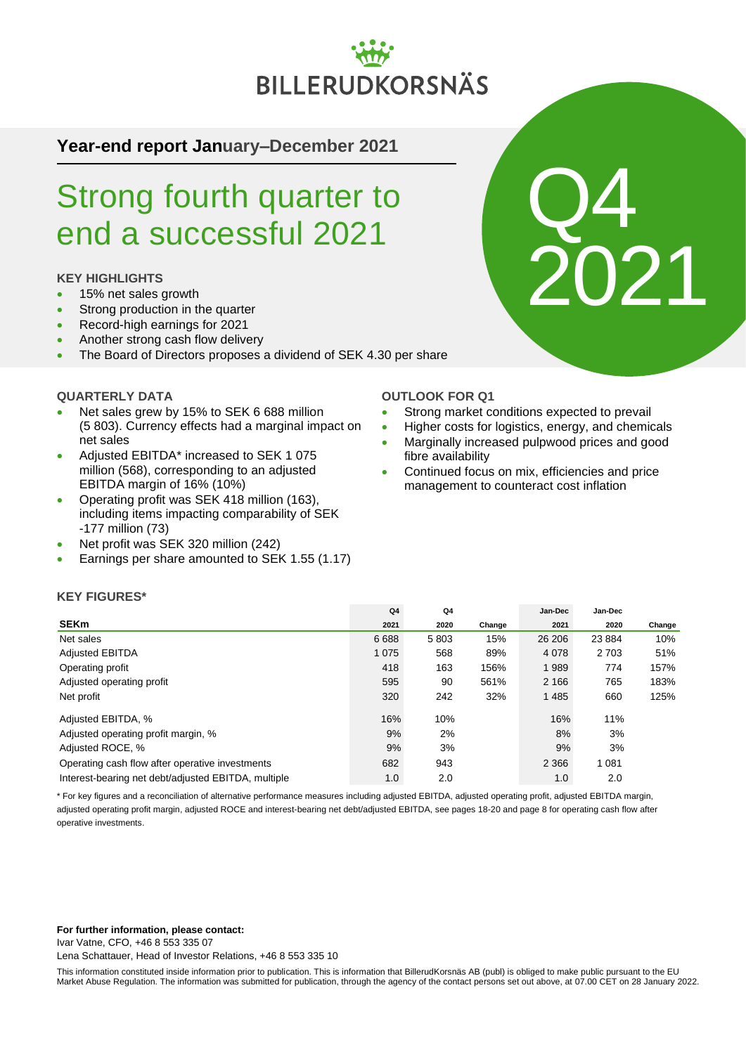# **BILLERUDKORSNÄS**

# **Year-end report January–December 2021**

# Strong fourth quarter to end a successful 2021

## **KEY HIGHLIGHTS**

- 15% net sales growth
- Strong production in the quarter
- Record-high earnings for 2021
- Another strong cash flow delivery
- The Board of Directors proposes a dividend of SEK 4.30 per share

### **QUARTERLY DATA**

- Net sales grew by 15% to SEK 6 688 million (5 803). Currency effects had a marginal impact on net sales
- Adjusted EBITDA\* increased to SEK 1 075 million (568), corresponding to an adjusted EBITDA margin of 16% (10%)
- Operating profit was SEK 418 million (163), including items impacting comparability of SEK -177 million (73)
- Net profit was SEK 320 million (242)
- Earnings per share amounted to SEK 1.55 (1.17)

### **OUTLOOK FOR Q1**

- Strong market conditions expected to prevail
- Higher costs for logistics, energy, and chemicals

Q4

2021

- Marginally increased pulpwood prices and good fibre availability
- Continued focus on mix, efficiencies and price management to counteract cost inflation

## **KEY FIGURES\***

|                                                     | Q <sub>4</sub> | Q <sub>4</sub> |        | Jan-Dec | Jan-Dec |        |
|-----------------------------------------------------|----------------|----------------|--------|---------|---------|--------|
| <b>SEKm</b>                                         | 2021           | 2020           | Change | 2021    | 2020    | Change |
| Net sales                                           | 6688           | 5803           | 15%    | 26 20 6 | 23 8 84 | 10%    |
| <b>Adjusted EBITDA</b>                              | 1 0 7 5        | 568            | 89%    | 4 0 7 8 | 2 7 0 3 | 51%    |
| Operating profit                                    | 418            | 163            | 156%   | 1 9 8 9 | 774     | 157%   |
| Adjusted operating profit                           | 595            | 90             | 561%   | 2 1 6 6 | 765     | 183%   |
| Net profit                                          | 320            | 242            | 32%    | 1485    | 660     | 125%   |
| Adjusted EBITDA, %                                  | 16%            | 10%            |        | 16%     | 11%     |        |
| Adjusted operating profit margin, %                 | 9%             | 2%             |        | 8%      | 3%      |        |
| Adjusted ROCE, %                                    | 9%             | 3%             |        | 9%      | 3%      |        |
| Operating cash flow after operative investments     | 682            | 943            |        | 2 3 6 6 | 1 0 8 1 |        |
| Interest-bearing net debt/adjusted EBITDA, multiple | 1.0            | 2.0            |        | 1.0     | 2.0     |        |

\* For key figures and a reconciliation of alternative performance measures including adjusted EBITDA, adjusted operating profit, adjusted EBITDA margin, adjusted operating profit margin, adjusted ROCE and interest-bearing net debt/adjusted EBITDA, see pages 18-20 and page 8 for operating cash flow after operative investments.

### **For further information, please contact:**

Ivar Vatne, CFO, +46 8 553 335 07

Lena Schattauer, Head of Investor Relations, +46 8 553 335 10

This information constituted inside information prior to publication. This is information that BillerudKorsnäs AB (publ) is obliged to make public pursuant to the EU Market Abuse Regulation. The information was submitted for publication, through the agency of the contact persons set out above, at 07.00 CET on 28 January 2022.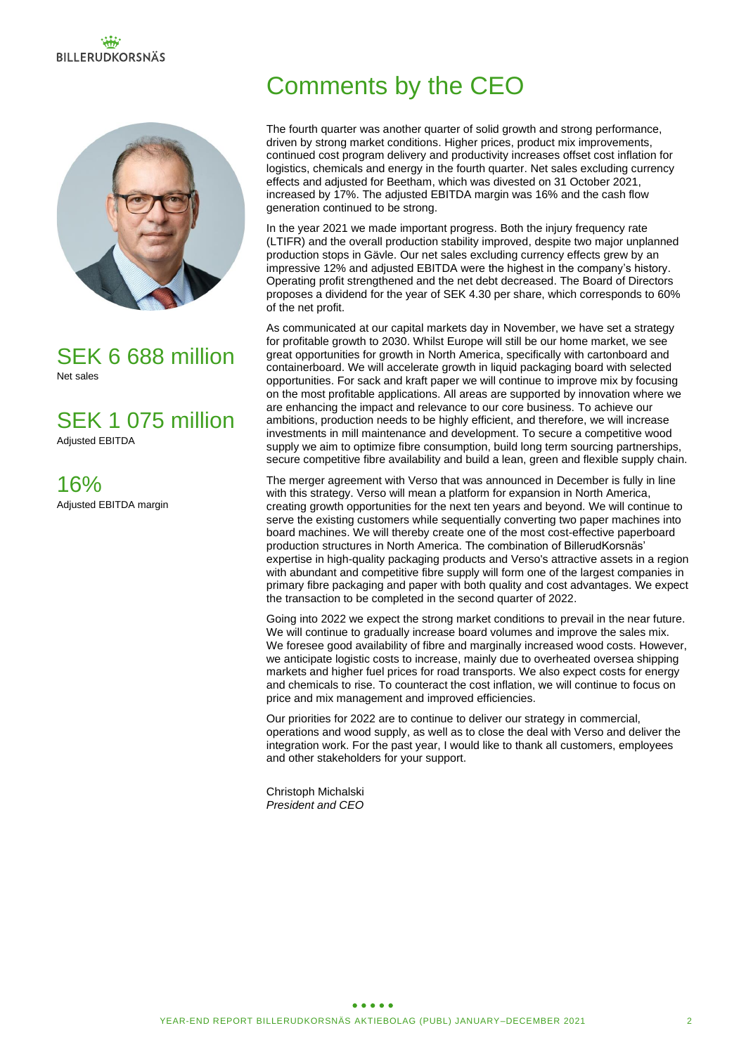# **BILLERUDKORSNÄS**



# SEK 6 688 million Net sales

SEK 1 075 million Adjusted EBITDA

16% Adjusted EBITDA margin

# Comments by the CEO

The fourth quarter was another quarter of solid growth and strong performance, driven by strong market conditions. Higher prices, product mix improvements, continued cost program delivery and productivity increases offset cost inflation for logistics, chemicals and energy in the fourth quarter. Net sales excluding currency effects and adjusted for Beetham, which was divested on 31 October 2021, increased by 17%. The adjusted EBITDA margin was 16% and the cash flow generation continued to be strong.

In the year 2021 we made important progress. Both the injury frequency rate (LTIFR) and the overall production stability improved, despite two major unplanned production stops in Gävle. Our net sales excluding currency effects grew by an impressive 12% and adjusted EBITDA were the highest in the company's history. Operating profit strengthened and the net debt decreased. The Board of Directors proposes a dividend for the year of SEK 4.30 per share, which corresponds to 60% of the net profit.

As communicated at our capital markets day in November, we have set a strategy for profitable growth to 2030. Whilst Europe will still be our home market, we see great opportunities for growth in North America, specifically with cartonboard and containerboard. We will accelerate growth in liquid packaging board with selected opportunities. For sack and kraft paper we will continue to improve mix by focusing on the most profitable applications. All areas are supported by innovation where we are enhancing the impact and relevance to our core business. To achieve our ambitions, production needs to be highly efficient, and therefore, we will increase investments in mill maintenance and development. To secure a competitive wood supply we aim to optimize fibre consumption, build long term sourcing partnerships, secure competitive fibre availability and build a lean, green and flexible supply chain.

The merger agreement with Verso that was announced in December is fully in line with this strategy. Verso will mean a platform for expansion in North America, creating growth opportunities for the next ten years and beyond. We will continue to serve the existing customers while sequentially converting two paper machines into board machines. We will thereby create one of the most cost-effective paperboard production structures in North America. The combination of BillerudKorsnäs' expertise in high-quality packaging products and Verso's attractive assets in a region with abundant and competitive fibre supply will form one of the largest companies in primary fibre packaging and paper with both quality and cost advantages. We expect the transaction to be completed in the second quarter of 2022.

Going into 2022 we expect the strong market conditions to prevail in the near future. We will continue to gradually increase board volumes and improve the sales mix. We foresee good availability of fibre and marginally increased wood costs. However, we anticipate logistic costs to increase, mainly due to overheated oversea shipping markets and higher fuel prices for road transports. We also expect costs for energy and chemicals to rise. To counteract the cost inflation, we will continue to focus on price and mix management and improved efficiencies.

Our priorities for 2022 are to continue to deliver our strategy in commercial, operations and wood supply, as well as to close the deal with Verso and deliver the integration work. For the past year, I would like to thank all customers, employees and other stakeholders for your support.

Christoph Michalski *President and CEO*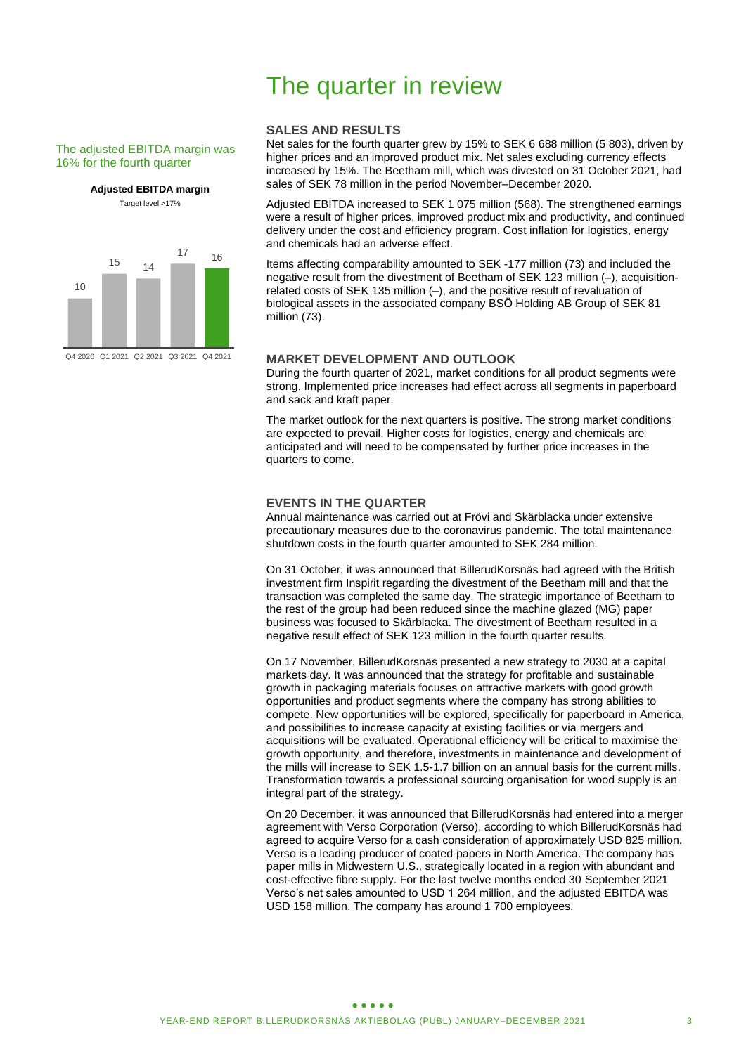#### The adjusted EBITDA margin was 16% for the fourth quarter

**Adjusted EBITDA margin**

Target level >17%



Q4 2020 Q1 2021 Q2 2021 Q3 2021 Q4 2021

# The quarter in review

#### **SALES AND RESULTS**

Net sales for the fourth quarter grew by 15% to SEK 6 688 million (5 803), driven by higher prices and an improved product mix. Net sales excluding currency effects increased by 15%. The Beetham mill, which was divested on 31 October 2021, had sales of SEK 78 million in the period November–December 2020.

Adjusted EBITDA increased to SEK 1 075 million (568). The strengthened earnings were a result of higher prices, improved product mix and productivity, and continued delivery under the cost and efficiency program. Cost inflation for logistics, energy and chemicals had an adverse effect.

Items affecting comparability amounted to SEK -177 million (73) and included the negative result from the divestment of Beetham of SEK 123 million (–), acquisitionrelated costs of SEK 135 million (–), and the positive result of revaluation of biological assets in the associated company BSÖ Holding AB Group of SEK 81 million (73).

### **MARKET DEVELOPMENT AND OUTLOOK**

During the fourth quarter of 2021, market conditions for all product segments were strong. Implemented price increases had effect across all segments in paperboard and sack and kraft paper.

The market outlook for the next quarters is positive. The strong market conditions are expected to prevail. Higher costs for logistics, energy and chemicals are anticipated and will need to be compensated by further price increases in the quarters to come.

### **EVENTS IN THE QUARTER**

Annual maintenance was carried out at Frövi and Skärblacka under extensive precautionary measures due to the coronavirus pandemic. The total maintenance shutdown costs in the fourth quarter amounted to SEK 284 million.

On 31 October, it was announced that BillerudKorsnäs had agreed with the British investment firm Inspirit regarding the divestment of the Beetham mill and that the transaction was completed the same day. The strategic importance of Beetham to the rest of the group had been reduced since the machine glazed (MG) paper business was focused to Skärblacka. The divestment of Beetham resulted in a negative result effect of SEK 123 million in the fourth quarter results.

On 17 November, BillerudKorsnäs presented a new strategy to 2030 at a capital markets day. It was announced that the strategy for profitable and sustainable growth in packaging materials focuses on attractive markets with good growth opportunities and product segments where the company has strong abilities to compete. New opportunities will be explored, specifically for paperboard in America, and possibilities to increase capacity at existing facilities or via mergers and acquisitions will be evaluated. Operational efficiency will be critical to maximise the growth opportunity, and therefore, investments in maintenance and development of the mills will increase to SEK 1.5-1.7 billion on an annual basis for the current mills. Transformation towards a professional sourcing organisation for wood supply is an integral part of the strategy.

On 20 December, it was announced that BillerudKorsnäs had entered into a merger agreement with Verso Corporation (Verso), according to which BillerudKorsnäs had agreed to acquire Verso for a cash consideration of approximately USD 825 million. Verso is a leading producer of coated papers in North America. The company has paper mills in Midwestern U.S., strategically located in a region with abundant and cost-effective fibre supply. For the last twelve months ended 30 September 2021 Verso's net sales amounted to USD 1 264 million, and the adjusted EBITDA was USD 158 million. The company has around 1 700 employees.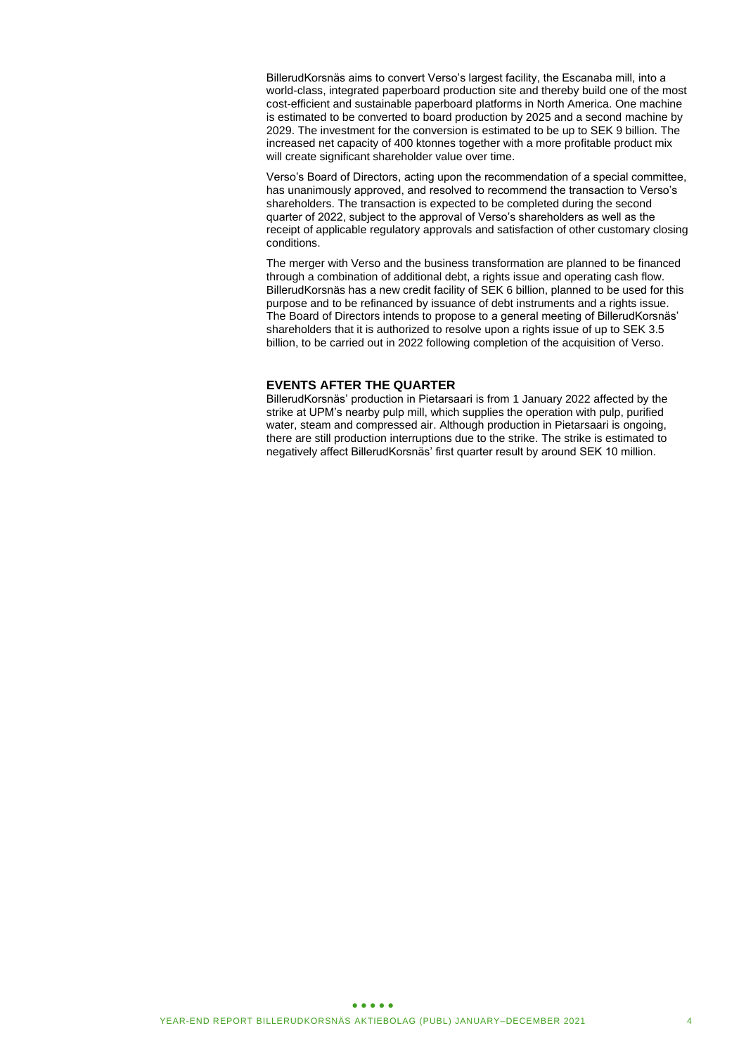BillerudKorsnäs aims to convert Verso's largest facility, the Escanaba mill, into a world-class, integrated paperboard production site and thereby build one of the most cost-efficient and sustainable paperboard platforms in North America. One machine is estimated to be converted to board production by 2025 and a second machine by 2029. The investment for the conversion is estimated to be up to SEK 9 billion. The increased net capacity of 400 ktonnes together with a more profitable product mix will create significant shareholder value over time.

Verso's Board of Directors, acting upon the recommendation of a special committee, has unanimously approved, and resolved to recommend the transaction to Verso's shareholders. The transaction is expected to be completed during the second quarter of 2022, subject to the approval of Verso's shareholders as well as the receipt of applicable regulatory approvals and satisfaction of other customary closing conditions.

The merger with Verso and the business transformation are planned to be financed through a combination of additional debt, a rights issue and operating cash flow. BillerudKorsnäs has a new credit facility of SEK 6 billion, planned to be used for this purpose and to be refinanced by issuance of debt instruments and a rights issue. The Board of Directors intends to propose to a general meeting of BillerudKorsnäs' shareholders that it is authorized to resolve upon a rights issue of up to SEK 3.5 billion, to be carried out in 2022 following completion of the acquisition of Verso.

### **EVENTS AFTER THE QUARTER**

BillerudKorsnäs' production in Pietarsaari is from 1 January 2022 affected by the strike at UPM's nearby pulp mill, which supplies the operation with pulp, purified water, steam and compressed air. Although production in Pietarsaari is ongoing, there are still production interruptions due to the strike. The strike is estimated to negatively affect BillerudKorsnäs' first quarter result by around SEK 10 million.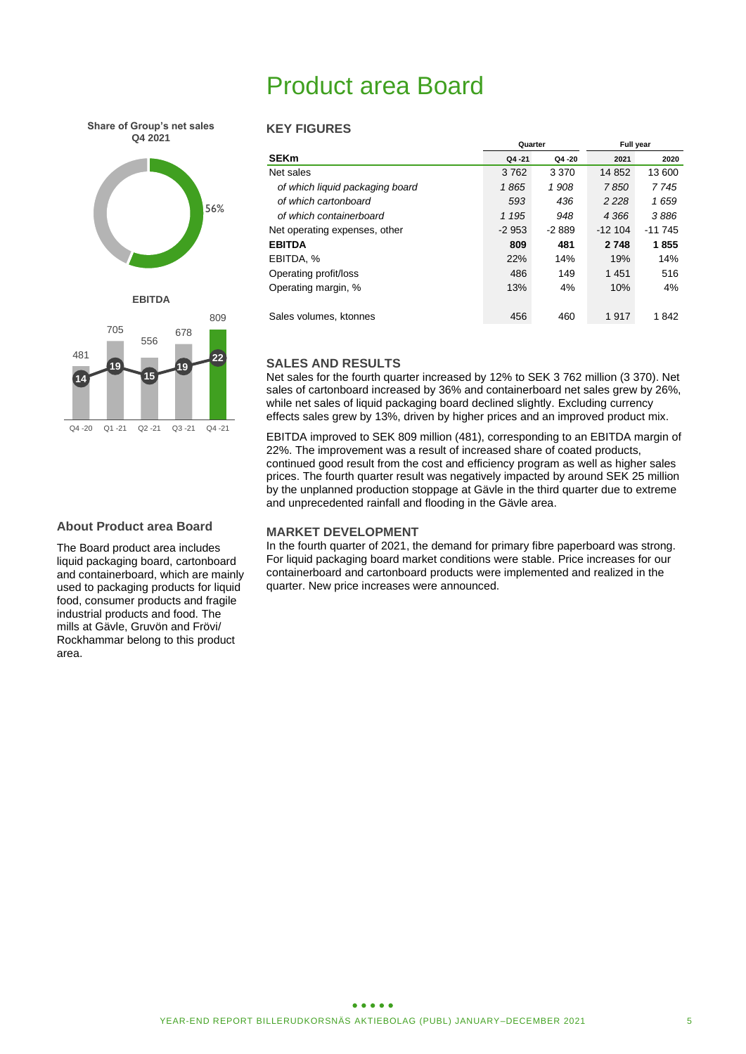# Product area Board

**Share of Group's net sales Q4 2021**



### **KEY FIGURES**

|                                 |         | Quarter | Full year |          |  |
|---------------------------------|---------|---------|-----------|----------|--|
| <b>SEKm</b>                     | Q4 -21  | Q4 -20  | 2021      | 2020     |  |
| Net sales                       | 3762    | 3 3 7 0 | 14 852    | 13 600   |  |
| of which liquid packaging board | 1865    | 1908    | 7850      | 7 745    |  |
| of which cartonboard            | 593     | 436     | 2 2 2 8   | 1659     |  |
| of which containerboard         | 1 1 9 5 | 948     | 4 3 6 6   | 3886     |  |
| Net operating expenses, other   | $-2953$ | $-2889$ | $-12104$  | $-11745$ |  |
| <b>EBITDA</b>                   | 809     | 481     | 2748      | 1855     |  |
| EBITDA, %                       | 22%     | 14%     | 19%       | 14%      |  |
| Operating profit/loss           | 486     | 149     | 1451      | 516      |  |
| Operating margin, %             | 13%     | 4%      | 10%       | 4%       |  |
|                                 |         |         |           |          |  |
| Sales volumes, ktonnes          | 456     | 460     | 1917      | 1842     |  |

#### 481 705 556 678 809 **14 19 15 19 22** Q4 -20 Q1 -21 Q2 -21 Q3 -21 Q4 -21

**<sup>1</sup>EBITDA**

### **SALES AND RESULTS**

Net sales for the fourth quarter increased by 12% to SEK 3 762 million (3 370). Net sales of cartonboard increased by 36% and containerboard net sales grew by 26%, while net sales of liquid packaging board declined slightly. Excluding currency effects sales grew by 13%, driven by higher prices and an improved product mix.

EBITDA improved to SEK 809 million (481), corresponding to an EBITDA margin of 22%. The improvement was a result of increased share of coated products, continued good result from the cost and efficiency program as well as higher sales prices. The fourth quarter result was negatively impacted by around SEK 25 million by the unplanned production stoppage at Gävle in the third quarter due to extreme and unprecedented rainfall and flooding in the Gävle area.

### **MARKET DEVELOPMENT**

In the fourth quarter of 2021, the demand for primary fibre paperboard was strong. For liquid packaging board market conditions were stable. Price increases for our containerboard and cartonboard products were implemented and realized in the quarter. New price increases were announced.

#### **About Product area Board**

The Board product area includes liquid packaging board, cartonboard and containerboard, which are mainly used to packaging products for liquid food, consumer products and fragile industrial products and food. The mills at Gävle, Gruvön and Frövi/ Rockhammar belong to this product area.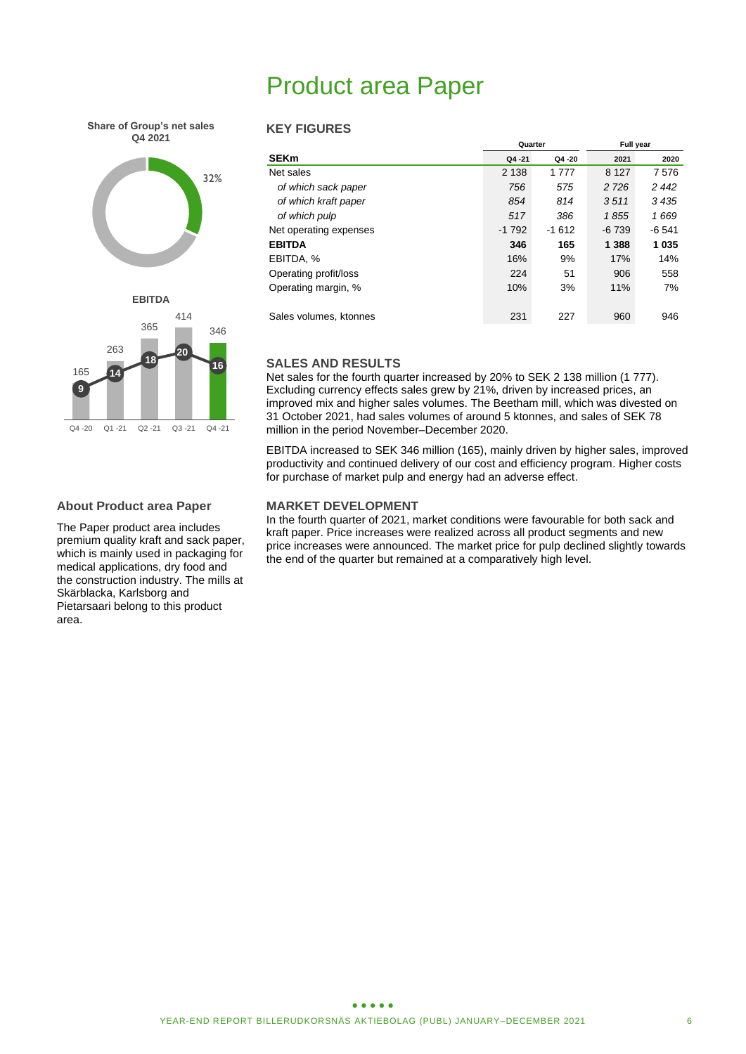# Product area Paper

**Share of Group's net sales Q4 2021**



### **KEY FIGURES**

|                        |         | Quarter | Full year |         |  |
|------------------------|---------|---------|-----------|---------|--|
| <b>SEKm</b>            | Q4-21   | Q4 -20  | 2021      | 2020    |  |
| Net sales              | 2 1 3 8 | 1 7 7 7 | 8 1 2 7   | 7576    |  |
| of which sack paper    | 756     | 575     | 2 7 2 6   | 2 4 4 2 |  |
| of which kraft paper   | 854     | 814     | 3511      | 3435    |  |
| of which pulp          | 517     | 386     | 1855      | 1669    |  |
| Net operating expenses | $-1792$ | $-1612$ | $-6739$   | $-6541$ |  |
| <b>EBITDA</b>          | 346     | 165     | 1 3 8 8   | 1035    |  |
| EBITDA, %              | 16%     | 9%      | 17%       | 14%     |  |
| Operating profit/loss  | 224     | 51      | 906       | 558     |  |
| Operating margin, %    | 10%     | 3%      | 11%       | 7%      |  |
|                        |         |         |           |         |  |
| Sales volumes, ktonnes | 231     | 227     | 960       | 946     |  |



### **About Product area Paper**

The Paper product area includes premium quality kraft and sack paper, which is mainly used in packaging for medical applications, dry food and the construction industry. The mills at Skärblacka, Karlsborg and Pietarsaari belong to this product area.

### **SALES AND RESULTS**

Net sales for the fourth quarter increased by 20% to SEK 2 138 million (1 777). Excluding currency effects sales grew by 21%, driven by increased prices, an improved mix and higher sales volumes. The Beetham mill, which was divested on 31 October 2021, had sales volumes of around 5 ktonnes, and sales of SEK 78 million in the period November–December 2020.

EBITDA increased to SEK 346 million (165), mainly driven by higher sales, improved productivity and continued delivery of our cost and efficiency program. Higher costs for purchase of market pulp and energy had an adverse effect.

### **MARKET DEVELOPMENT**

In the fourth quarter of 2021, market conditions were favourable for both sack and kraft paper. Price increases were realized across all product segments and new price increases were announced. The market price for pulp declined slightly towards the end of the quarter but remained at a comparatively high level.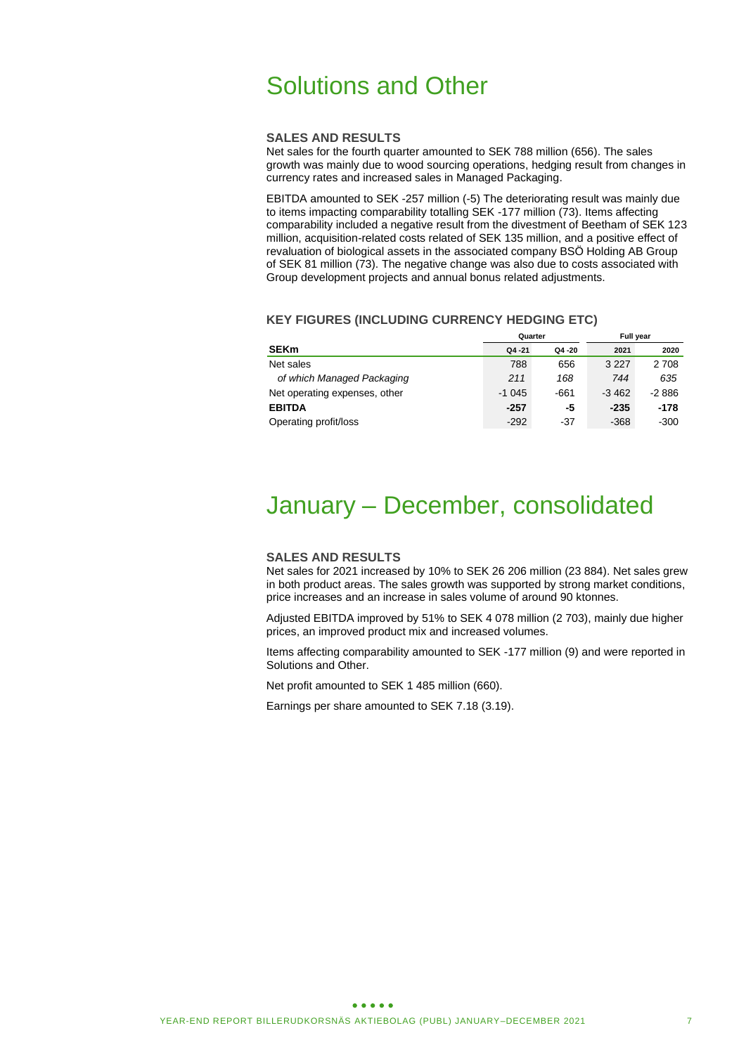# Solutions and Other

#### **SALES AND RESULTS**

Net sales for the fourth quarter amounted to SEK 788 million (656). The sales growth was mainly due to wood sourcing operations, hedging result from changes in currency rates and increased sales in Managed Packaging.

EBITDA amounted to SEK -257 million (-5) The deteriorating result was mainly due to items impacting comparability totalling SEK -177 million (73). Items affecting comparability included a negative result from the divestment of Beetham of SEK 123 million, acquisition-related costs related of SEK 135 million, and a positive effect of revaluation of biological assets in the associated company BSÖ Holding AB Group of SEK 81 million (73). The negative change was also due to costs associated with Group development projects and annual bonus related adjustments.

|                               | Quarter |       | <b>Full vear</b> |         |  |
|-------------------------------|---------|-------|------------------|---------|--|
| <b>SEKm</b>                   | Q4 -21  | Q4-20 | 2021             | 2020    |  |
| Net sales                     | 788     | 656   | 3 2 2 7          | 2708    |  |
| of which Managed Packaging    | 211     | 168   | 744              | 635     |  |
| Net operating expenses, other | $-1045$ | -661  | $-3462$          | $-2886$ |  |
| <b>EBITDA</b>                 | $-257$  | -5    | $-235$           | -178    |  |
| Operating profit/loss         | $-292$  | -37   | $-368$           | -300    |  |

### **KEY FIGURES (INCLUDING CURRENCY HEDGING ETC)**

# January – December, consolidated

### **SALES AND RESULTS**

Net sales for 2021 increased by 10% to SEK 26 206 million (23 884). Net sales grew in both product areas. The sales growth was supported by strong market conditions, price increases and an increase in sales volume of around 90 ktonnes.

Adjusted EBITDA improved by 51% to SEK 4 078 million (2 703), mainly due higher prices, an improved product mix and increased volumes.

Items affecting comparability amounted to SEK -177 million (9) and were reported in Solutions and Other.

Net profit amounted to SEK 1 485 million (660).

Earnings per share amounted to SEK 7.18 (3.19).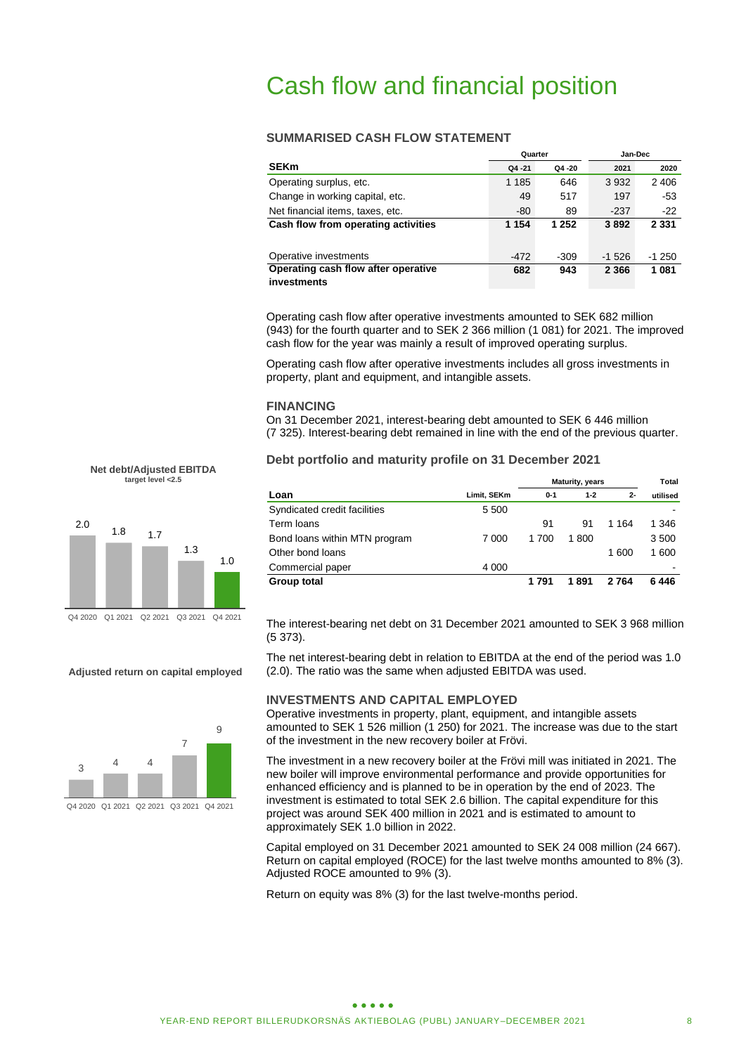# Cash flow and financial position

### **SUMMARISED CASH FLOW STATEMENT**

|                                                    | Quarter   |           | Jan-Dec |         |  |
|----------------------------------------------------|-----------|-----------|---------|---------|--|
| <b>SEKm</b>                                        | $Q4 - 21$ | $Q4 - 20$ | 2021    | 2020    |  |
| Operating surplus, etc.                            | 1 1 8 5   | 646       | 3932    | 2 4 0 6 |  |
| Change in working capital, etc.                    | 49        | 517       | 197     | -53     |  |
| Net financial items, taxes, etc.                   | -80       | 89        | $-237$  | $-22$   |  |
| Cash flow from operating activities                | 1 1 5 4   | 1 252     | 3892    | 2 3 3 1 |  |
|                                                    |           |           |         |         |  |
| Operative investments                              | $-472$    | $-309$    | $-1526$ | $-1250$ |  |
| Operating cash flow after operative<br>investments | 682       | 943       | 2 3 6 6 | 1 0 8 1 |  |

Operating cash flow after operative investments amounted to SEK 682 million (943) for the fourth quarter and to SEK 2 366 million (1 081) for 2021. The improved cash flow for the year was mainly a result of improved operating surplus.

Operating cash flow after operative investments includes all gross investments in property, plant and equipment, and intangible assets.

#### **FINANCING**

On 31 December 2021, interest-bearing debt amounted to SEK 6 446 million (7 325). Interest-bearing debt remained in line with the end of the previous quarter.

### **Debt portfolio and maturity profile on 31 December 2021**

|                               |             | Maturity, years |         |         | Total    |  |
|-------------------------------|-------------|-----------------|---------|---------|----------|--|
| Loan                          | Limit, SEKm | $0 - 1$         | $1 - 2$ | 2-      | utilised |  |
| Syndicated credit facilities  | 5 500       |                 |         |         |          |  |
| Term loans                    |             | 91              | 91      | 1 1 6 4 | 1 346    |  |
| Bond loans within MTN program | 7 000       | 1 700           | 1800    |         | 3500     |  |
| Other bond loans              |             |                 |         | 1600    | 1 600    |  |
| Commercial paper              | 4 0 0 0     |                 |         |         | -        |  |
| Group total                   |             | 1 791           | 1891    | 2764    | 6446     |  |

The interest-bearing net debt on 31 December 2021 amounted to SEK 3 968 million (5 373).

The net interest-bearing debt in relation to EBITDA at the end of the period was 1.0 (2.0). The ratio was the same when adjusted EBITDA was used.

### **INVESTMENTS AND CAPITAL EMPLOYED**

Operative investments in property, plant, equipment, and intangible assets amounted to SEK 1 526 million (1 250) for 2021. The increase was due to the start of the investment in the new recovery boiler at Frövi.

The investment in a new recovery boiler at the Frövi mill was initiated in 2021. The new boiler will improve environmental performance and provide opportunities for enhanced efficiency and is planned to be in operation by the end of 2023. The investment is estimated to total SEK 2.6 billion. The capital expenditure for this project was around SEK 400 million in 2021 and is estimated to amount to approximately SEK 1.0 billion in 2022.

Capital employed on 31 December 2021 amounted to SEK 24 008 million (24 667). Return on capital employed (ROCE) for the last twelve months amounted to 8% (3). Adjusted ROCE amounted to 9% (3).

Return on equity was 8% (3) for the last twelve-months period.





#### **Adjusted return on capital employed**

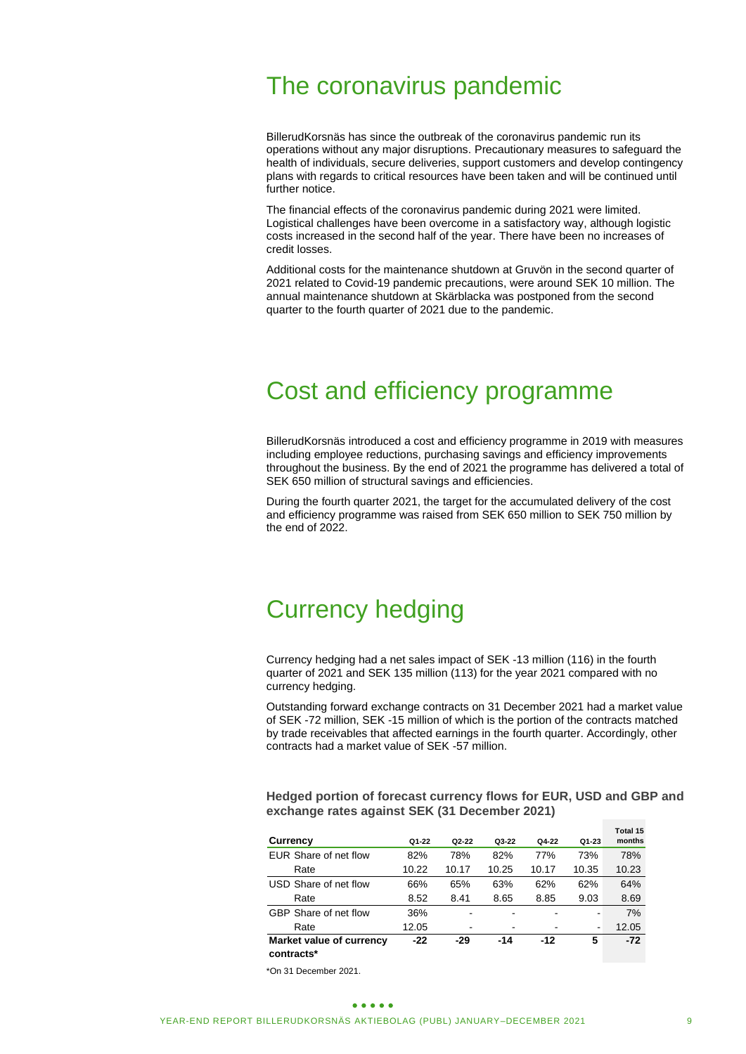# The coronavirus pandemic

BillerudKorsnäs has since the outbreak of the coronavirus pandemic run its operations without any major disruptions. Precautionary measures to safeguard the health of individuals, secure deliveries, support customers and develop contingency plans with regards to critical resources have been taken and will be continued until further notice.

The financial effects of the coronavirus pandemic during 2021 were limited. Logistical challenges have been overcome in a satisfactory way, although logistic costs increased in the second half of the year. There have been no increases of credit losses.

Additional costs for the maintenance shutdown at Gruvön in the second quarter of 2021 related to Covid-19 pandemic precautions, were around SEK 10 million. The annual maintenance shutdown at Skärblacka was postponed from the second quarter to the fourth quarter of 2021 due to the pandemic.

# Cost and efficiency programme

BillerudKorsnäs introduced a cost and efficiency programme in 2019 with measures including employee reductions, purchasing savings and efficiency improvements throughout the business. By the end of 2021 the programme has delivered a total of SEK 650 million of structural savings and efficiencies.

During the fourth quarter 2021, the target for the accumulated delivery of the cost and efficiency programme was raised from SEK 650 million to SEK 750 million by the end of 2022.

# Currency hedging

Currency hedging had a net sales impact of SEK -13 million (116) in the fourth quarter of 2021 and SEK 135 million (113) for the year 2021 compared with no currency hedging.

Outstanding forward exchange contracts on 31 December 2021 had a market value of SEK -72 million, SEK -15 million of which is the portion of the contracts matched by trade receivables that affected earnings in the fourth quarter. Accordingly, other contracts had a market value of SEK -57 million.

**Hedged portion of forecast currency flows for EUR, USD and GBP and exchange rates against SEK (31 December 2021)**

| Currency                               | Q1-22 | Q2-22 | Q3-22 | Q4-22 | $Q1-23$ | Total 15<br>months |
|----------------------------------------|-------|-------|-------|-------|---------|--------------------|
| EUR Share of net flow                  | 82%   | 78%   | 82%   | 77%   | 73%     | 78%                |
| Rate                                   | 10.22 | 10.17 | 10.25 | 10.17 | 10.35   | 10.23              |
| USD Share of net flow                  | 66%   | 65%   | 63%   | 62%   | 62%     | 64%                |
| Rate                                   | 8.52  | 8.41  | 8.65  | 8.85  | 9.03    | 8.69               |
| GBP Share of net flow                  | 36%   |       |       |       |         | 7%                 |
| Rate                                   | 12.05 |       | -     |       | ٠       | 12.05              |
| Market value of currency<br>contracts* | $-22$ | $-29$ | $-14$ | $-12$ | 5       | $-72$              |

\*On 31 December 2021.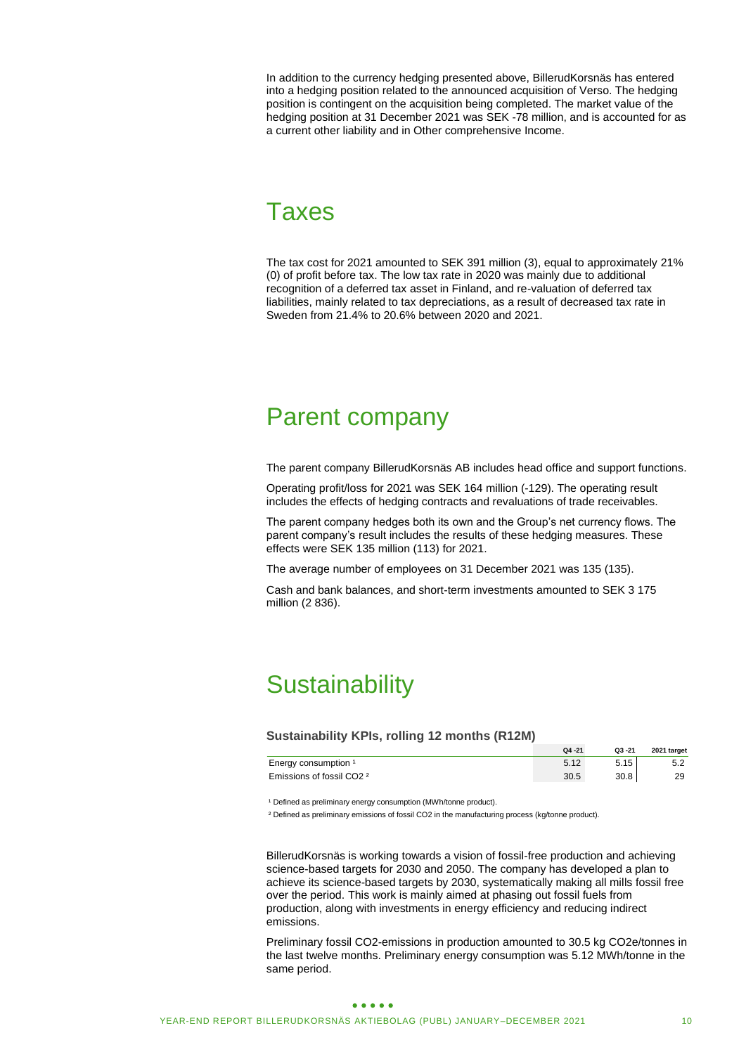In addition to the currency hedging presented above, BillerudKorsnäs has entered into a hedging position related to the announced acquisition of Verso. The hedging position is contingent on the acquisition being completed. The market value of the hedging position at 31 December 2021 was SEK -78 million, and is accounted for as a current other liability and in Other comprehensive Income.

# Taxes

The tax cost for 2021 amounted to SEK 391 million (3), equal to approximately 21% (0) of profit before tax. The low tax rate in 2020 was mainly due to additional recognition of a deferred tax asset in Finland, and re-valuation of deferred tax liabilities, mainly related to tax depreciations, as a result of decreased tax rate in Sweden from 21.4% to 20.6% between 2020 and 2021.

# Parent company

The parent company BillerudKorsnäs AB includes head office and support functions.

Operating profit/loss for 2021 was SEK 164 million (-129). The operating result includes the effects of hedging contracts and revaluations of trade receivables.

The parent company hedges both its own and the Group's net currency flows. The parent company's result includes the results of these hedging measures. These effects were SEK 135 million (113) for 2021.

The average number of employees on 31 December 2021 was 135 (135).

Cash and bank balances, and short-term investments amounted to SEK 3 175 million (2 836).

# **Sustainability**

#### **Sustainability KPIs, rolling 12 months (R12M)**

|                                      | $Q4 - 21$ | Q3 -21 | 2021 target |
|--------------------------------------|-----------|--------|-------------|
| Energy consumption                   |           |        |             |
| Emissions of fossil CO2 <sup>2</sup> | 30.5      | 30.8   |             |

<sup>1</sup> Defined as preliminary energy consumption (MWh/tonne product).

² Defined as preliminary emissions of fossil CO2 in the manufacturing process (kg/tonne product).

BillerudKorsnäs is working towards a vision of fossil-free production and achieving science-based targets for 2030 and 2050. The company has developed a plan to achieve its science-based targets by 2030, systematically making all mills fossil free over the period. This work is mainly aimed at phasing out fossil fuels from production, along with investments in energy efficiency and reducing indirect emissions.

Preliminary fossil CO2-emissions in production amounted to 30.5 kg CO2e/tonnes in the last twelve months. Preliminary energy consumption was 5.12 MWh/tonne in the same period.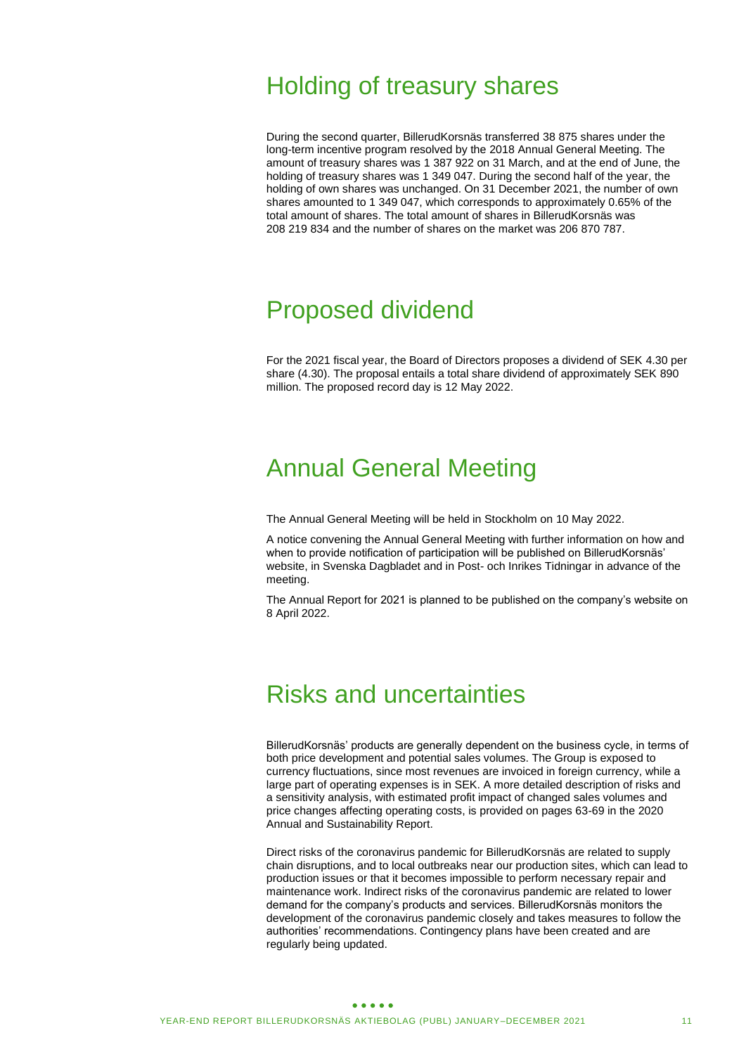# Holding of treasury shares

During the second quarter, BillerudKorsnäs transferred 38 875 shares under the long-term incentive program resolved by the 2018 Annual General Meeting. The amount of treasury shares was 1 387 922 on 31 March, and at the end of June, the holding of treasury shares was 1 349 047. During the second half of the year, the holding of own shares was unchanged. On 31 December 2021, the number of own shares amounted to 1 349 047, which corresponds to approximately 0.65% of the total amount of shares. The total amount of shares in BillerudKorsnäs was 208 219 834 and the number of shares on the market was 206 870 787.

# Proposed dividend

For the 2021 fiscal year, the Board of Directors proposes a dividend of SEK 4.30 per share (4.30). The proposal entails a total share dividend of approximately SEK 890 million. The proposed record day is 12 May 2022.

# Annual General Meeting

The Annual General Meeting will be held in Stockholm on 10 May 2022.

A notice convening the Annual General Meeting with further information on how and when to provide notification of participation will be published on BillerudKorsnäs' website, in Svenska Dagbladet and in Post- och Inrikes Tidningar in advance of the meeting.

The Annual Report for 2021 is planned to be published on the company's website on 8 April 2022.

# Risks and uncertainties

BillerudKorsnäs' products are generally dependent on the business cycle, in terms of both price development and potential sales volumes. The Group is exposed to currency fluctuations, since most revenues are invoiced in foreign currency, while a large part of operating expenses is in SEK. A more detailed description of risks and a sensitivity analysis, with estimated profit impact of changed sales volumes and price changes affecting operating costs, is provided on pages 63-69 in the 2020 Annual and Sustainability Report.

Direct risks of the coronavirus pandemic for BillerudKorsnäs are related to supply chain disruptions, and to local outbreaks near our production sites, which can lead to production issues or that it becomes impossible to perform necessary repair and maintenance work. Indirect risks of the coronavirus pandemic are related to lower demand for the company's products and services. BillerudKorsnäs monitors the development of the coronavirus pandemic closely and takes measures to follow the authorities' recommendations. Contingency plans have been created and are regularly being updated.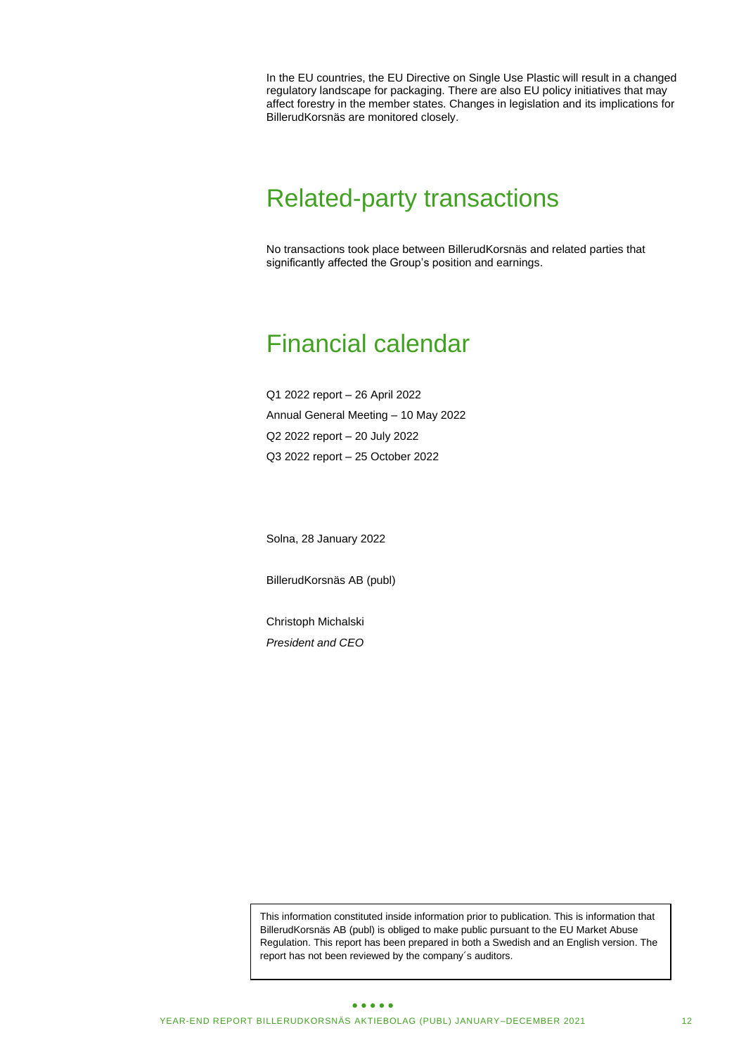In the EU countries, the EU Directive on Single Use Plastic will result in a changed regulatory landscape for packaging. There are also EU policy initiatives that may affect forestry in the member states. Changes in legislation and its implications for BillerudKorsnäs are monitored closely.

# Related-party transactions

No transactions took place between BillerudKorsnäs and related parties that significantly affected the Group's position and earnings.

# Financial calendar

Q1 2022 report – 26 April 2022 Annual General Meeting – 10 May 2022 Q2 2022 report – 20 July 2022 Q3 2022 report – 25 October 2022

Solna, 28 January 2022

BillerudKorsnäs AB (publ)

Christoph Michalski *President and CEO*

This information constituted inside information prior to publication. This is information that BillerudKorsnäs AB (publ) is obliged to make public pursuant to the EU Market Abuse Regulation. This report has been prepared in both a Swedish and an English version. The report has not been reviewed by the company´s auditors.

#### $\bullet\bullet\bullet\bullet\bullet$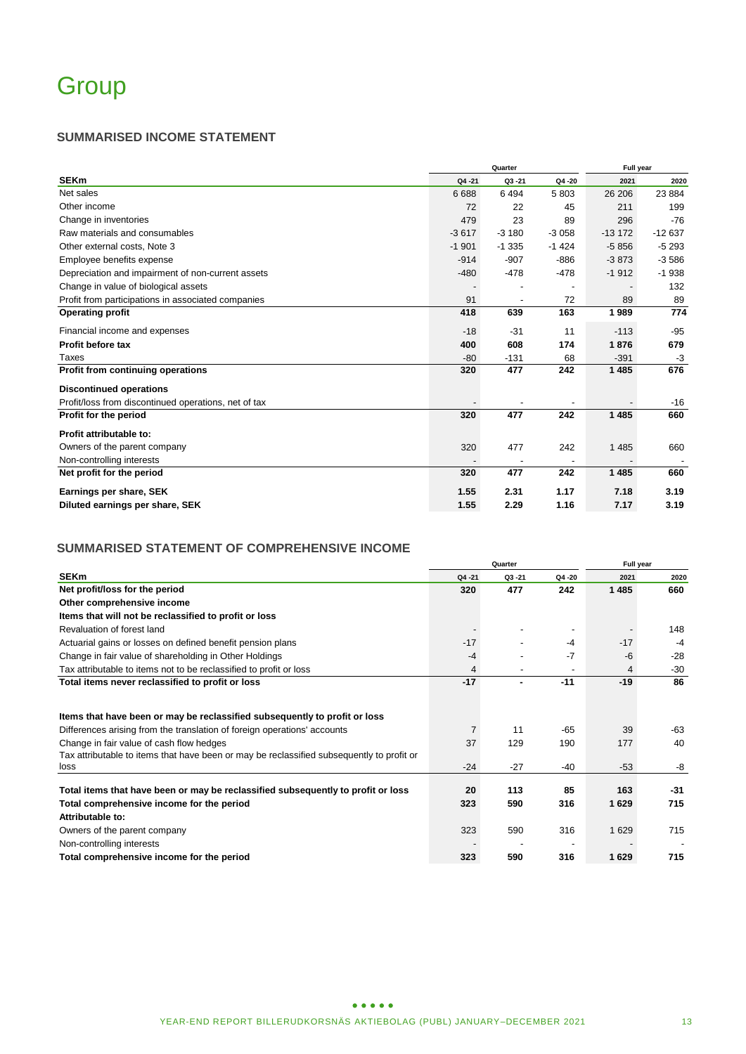# **SUMMARISED INCOME STATEMENT**

|                                                      | Quarter |           |                          | Full year |          |  |
|------------------------------------------------------|---------|-----------|--------------------------|-----------|----------|--|
| <b>SEKm</b>                                          | Q4 - 21 | $Q3 - 21$ | Q4-20                    | 2021      | 2020     |  |
| Net sales                                            | 6688    | 6494      | 5803                     | 26 20 6   | 23 8 84  |  |
| Other income                                         | 72      | 22        | 45                       | 211       | 199      |  |
| Change in inventories                                | 479     | 23        | 89                       | 296       | $-76$    |  |
| Raw materials and consumables                        | $-3617$ | $-3180$   | $-3058$                  | $-13172$  | $-12637$ |  |
| Other external costs, Note 3                         | $-1901$ | $-1.335$  | $-1424$                  | $-5856$   | $-5293$  |  |
| Employee benefits expense                            | $-914$  | $-907$    | $-886$                   | $-3873$   | $-3586$  |  |
| Depreciation and impairment of non-current assets    | $-480$  | $-478$    | -478                     | $-1912$   | $-1938$  |  |
| Change in value of biological assets                 |         |           | $\overline{\phantom{a}}$ |           | 132      |  |
| Profit from participations in associated companies   | 91      |           | 72                       | 89        | 89       |  |
| <b>Operating profit</b>                              | 418     | 639       | 163                      | 1989      | 774      |  |
| Financial income and expenses                        | $-18$   | $-31$     | 11                       | $-113$    | $-95$    |  |
| Profit before tax                                    | 400     | 608       | 174                      | 1876      | 679      |  |
| Taxes                                                | $-80$   | $-131$    | 68                       | $-391$    | $-3$     |  |
| Profit from continuing operations                    | 320     | 477       | 242                      | 1485      | 676      |  |
| <b>Discontinued operations</b>                       |         |           |                          |           |          |  |
| Profit/loss from discontinued operations, net of tax |         |           |                          |           | $-16$    |  |
| Profit for the period                                | 320     | 477       | 242                      | 1 4 8 5   | 660      |  |
| Profit attributable to:                              |         |           |                          |           |          |  |
| Owners of the parent company                         | 320     | 477       | 242                      | 1 4 8 5   | 660      |  |
| Non-controlling interests                            |         |           |                          |           |          |  |
| Net profit for the period                            | 320     | 477       | 242                      | 1 4 8 5   | 660      |  |
| Earnings per share, SEK                              | 1.55    | 2.31      | 1.17                     | 7.18      | 3.19     |  |
| Diluted earnings per share, SEK                      | 1.55    | 2.29      | 1.16                     | 7.17      | 3.19     |  |

# **SUMMARISED STATEMENT OF COMPREHENSIVE INCOME**

|                                                                                           |                | Quarter   | <b>Full year</b> |         |       |
|-------------------------------------------------------------------------------------------|----------------|-----------|------------------|---------|-------|
| <b>SEKm</b>                                                                               | $Q4 - 21$      | $Q3 - 21$ | Q4-20            | 2021    | 2020  |
| Net profit/loss for the period                                                            | 320            | 477       | 242              | 1 4 8 5 | 660   |
| Other comprehensive income                                                                |                |           |                  |         |       |
| Items that will not be reclassified to profit or loss                                     |                |           |                  |         |       |
| Revaluation of forest land                                                                |                |           |                  |         | 148   |
| Actuarial gains or losses on defined benefit pension plans                                | $-17$          |           | $-4$             | $-17$   | $-4$  |
| Change in fair value of shareholding in Other Holdings                                    | -4             |           | $-7$             | -6      | $-28$ |
| Tax attributable to items not to be reclassified to profit or loss                        | 4              |           |                  | 4       | $-30$ |
| Total items never reclassified to profit or loss                                          | $-17$          |           | $-11$            | $-19$   | 86    |
|                                                                                           |                |           |                  |         |       |
| Items that have been or may be reclassified subsequently to profit or loss                |                |           |                  |         |       |
| Differences arising from the translation of foreign operations' accounts                  | $\overline{7}$ | 11        | $-65$            | 39      | $-63$ |
| Change in fair value of cash flow hedges                                                  | 37             | 129       | 190              | 177     | 40    |
| Tax attributable to items that have been or may be reclassified subsequently to profit or |                |           |                  |         |       |
| loss                                                                                      | $-24$          | $-27$     | $-40$            | $-53$   | -8    |
|                                                                                           |                | 113       | 85               | 163     | $-31$ |
| Total items that have been or may be reclassified subsequently to profit or loss          | 20             |           |                  |         |       |
| Total comprehensive income for the period                                                 | 323            | 590       | 316              | 1629    | 715   |
| Attributable to:                                                                          |                |           |                  |         |       |
| Owners of the parent company                                                              | 323            | 590       | 316              | 1 6 2 9 | 715   |
| Non-controlling interests                                                                 |                |           |                  |         |       |
| Total comprehensive income for the period                                                 | 323            | 590       | 316              | 1629    | 715   |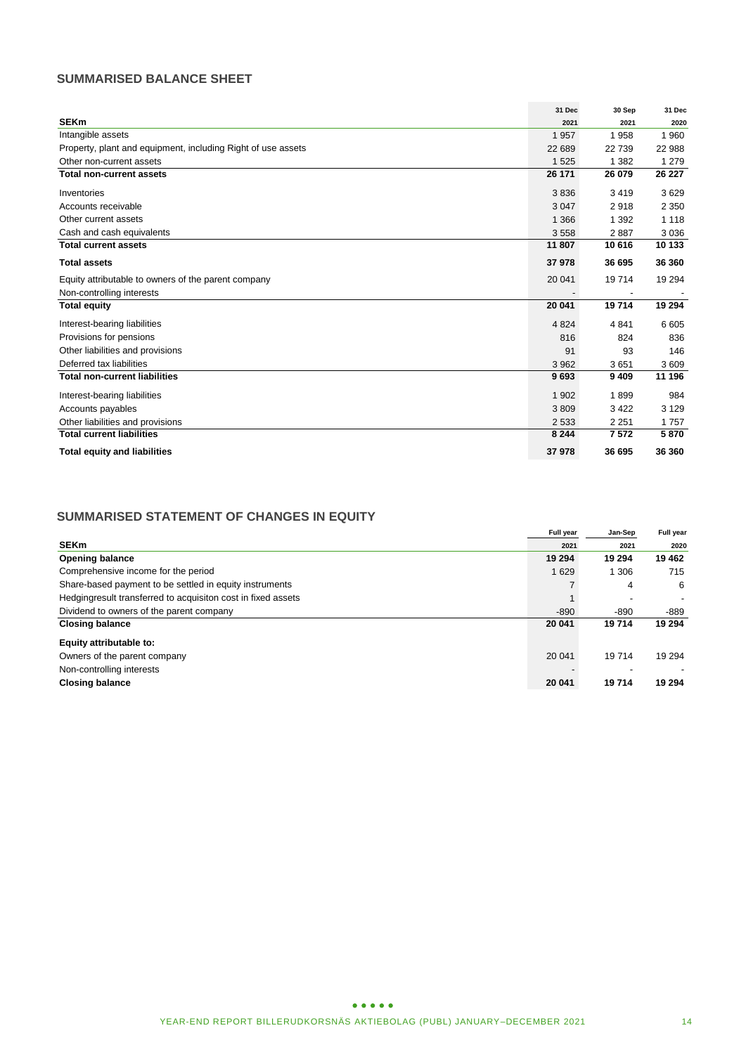# **SUMMARISED BALANCE SHEET**

|                                                              | 31 Dec  | 30 Sep  | 31 Dec  |
|--------------------------------------------------------------|---------|---------|---------|
| <b>SEKm</b>                                                  | 2021    | 2021    | 2020    |
| Intangible assets                                            | 1957    | 1958    | 1960    |
| Property, plant and equipment, including Right of use assets | 22 689  | 22739   | 22 988  |
| Other non-current assets                                     | 1 5 2 5 | 1 3 8 2 | 1 2 7 9 |
| <b>Total non-current assets</b>                              | 26 171  | 26 079  | 26 227  |
| Inventories                                                  | 3836    | 3419    | 3629    |
| Accounts receivable                                          | 3 0 4 7 | 2918    | 2 3 5 0 |
| Other current assets                                         | 1 3 6 6 | 1 3 9 2 | 1 1 1 8 |
| Cash and cash equivalents                                    | 3558    | 2887    | 3036    |
| <b>Total current assets</b>                                  | 11 807  | 10 616  | 10 133  |
| <b>Total assets</b>                                          | 37978   | 36 695  | 36 360  |
| Equity attributable to owners of the parent company          | 20 041  | 19714   | 19 294  |
| Non-controlling interests                                    |         |         |         |
| <b>Total equity</b>                                          | 20 041  | 19714   | 19 294  |
| Interest-bearing liabilities                                 | 4 8 24  | 4 8 4 1 | 6605    |
| Provisions for pensions                                      | 816     | 824     | 836     |
| Other liabilities and provisions                             | 91      | 93      | 146     |
| Deferred tax liabilities                                     | 3 9 6 2 | 3651    | 3609    |
| <b>Total non-current liabilities</b>                         | 9693    | 9409    | 11 196  |
| Interest-bearing liabilities                                 | 1 902   | 1899    | 984     |
| Accounts payables                                            | 3809    | 3 4 2 2 | 3 1 2 9 |
| Other liabilities and provisions                             | 2 5 3 3 | 2 2 5 1 | 1757    |
| <b>Total current liabilities</b>                             | 8 2 4 4 | 7572    | 5870    |
| <b>Total equity and liabilities</b>                          | 37978   | 36 695  | 36 360  |

# **SUMMARISED STATEMENT OF CHANGES IN EQUITY**

|                                                              | Full year | Jan-Sep | <b>Full year</b> |
|--------------------------------------------------------------|-----------|---------|------------------|
| <b>SEKm</b>                                                  | 2021      | 2021    | 2020             |
| <b>Opening balance</b>                                       | 19 294    | 19 294  | 19 4 62          |
| Comprehensive income for the period                          | 1 6 2 9   | 1 3 0 6 | 715              |
| Share-based payment to be settled in equity instruments      |           | 4       | 6                |
| Hedgingresult transferred to acquisiton cost in fixed assets |           |         |                  |
| Dividend to owners of the parent company                     | $-890$    | $-890$  | -889             |
| <b>Closing balance</b>                                       | 20 041    | 19714   | 19 294           |
| Equity attributable to:                                      |           |         |                  |
| Owners of the parent company                                 | 20 041    | 19714   | 19 294           |
| Non-controlling interests                                    |           |         |                  |
| <b>Closing balance</b>                                       | 20 041    | 19714   | 19 294           |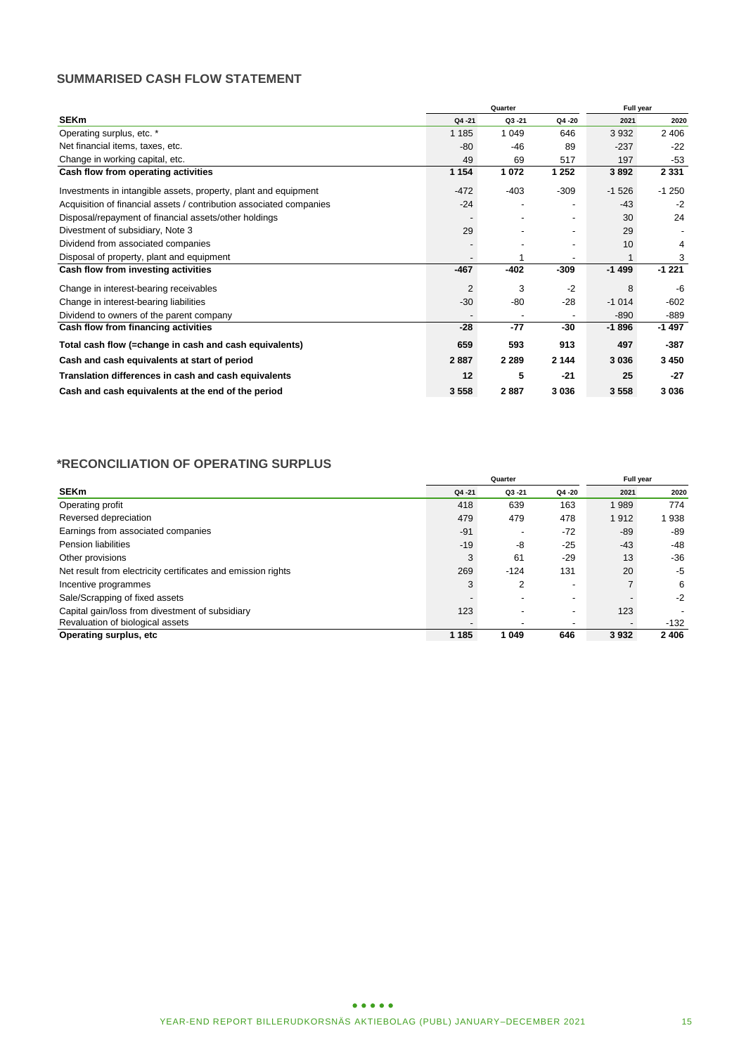# **SUMMARISED CASH FLOW STATEMENT**

|                                                                     | Quarter   |           |                |         | <b>Full year</b> |
|---------------------------------------------------------------------|-----------|-----------|----------------|---------|------------------|
| <b>SEKm</b>                                                         | $Q4 - 21$ | $Q3 - 21$ | Q4 -20         | 2021    | 2020             |
| Operating surplus, etc. *                                           | 1 1 8 5   | 1 0 4 9   | 646            | 3932    | 2 4 0 6          |
| Net financial items, taxes, etc.                                    | $-80$     | $-46$     | 89             | $-237$  | $-22$            |
| Change in working capital, etc.                                     | 49        | 69        | 517            | 197     | $-53$            |
| Cash flow from operating activities                                 | 1 1 5 4   | 1072      | 1 252          | 3892    | 2 3 3 1          |
| Investments in intangible assets, property, plant and equipment     | $-472$    | $-403$    | $-309$         | $-1526$ | $-1250$          |
| Acquisition of financial assets / contribution associated companies | $-24$     |           |                | $-43$   | $-2$             |
| Disposal/repayment of financial assets/other holdings               |           |           | $\blacksquare$ | 30      | 24               |
| Divestment of subsidiary, Note 3                                    | 29        |           |                | 29      |                  |
| Dividend from associated companies                                  |           |           |                | 10      | 4                |
| Disposal of property, plant and equipment                           |           |           | $\overline{a}$ |         | 3                |
| Cash flow from investing activities                                 | $-467$    | $-402$    | $-309$         | $-1499$ | $-1221$          |
| Change in interest-bearing receivables                              | 2         | 3         | $-2$           | 8       | -6               |
| Change in interest-bearing liabilities                              | $-30$     | -80       | $-28$          | $-1014$ | $-602$           |
| Dividend to owners of the parent company                            |           |           |                | $-890$  | $-889$           |
| Cash flow from financing activities                                 | $-28$     | $-77$     | $-30$          | -1896   | -1 497           |
| Total cash flow (=change in cash and cash equivalents)              | 659       | 593       | 913            | 497     | -387             |
| Cash and cash equivalents at start of period                        | 2887      | 2 2 8 9   | 2 144          | 3036    | 3 4 5 0          |
| Translation differences in cash and cash equivalents                | 12        | 5         | $-21$          | 25      | $-27$            |
| Cash and cash equivalents at the end of the period                  | 3 5 5 8   | 2887      | 3 0 3 6        | 3558    | 3 0 3 6          |

# **\*RECONCILIATION OF OPERATING SURPLUS**

|                                                              | Quarter   |           |                          |       | Full year |  |
|--------------------------------------------------------------|-----------|-----------|--------------------------|-------|-----------|--|
| <b>SEKm</b>                                                  | $Q4 - 21$ | $Q3 - 21$ | Q4 -20                   | 2021  | 2020      |  |
| Operating profit                                             | 418       | 639       | 163                      | 1989  | 774       |  |
| Reversed depreciation                                        | 479       | 479       | 478                      | 1912  | 938       |  |
| Earnings from associated companies                           | $-91$     |           | $-72$                    | $-89$ | -89       |  |
| Pension liabilities                                          | $-19$     | -8        | $-25$                    | $-43$ | -48       |  |
| Other provisions                                             | 3         | 61        | $-29$                    | 13    | -36       |  |
| Net result from electricity certificates and emission rights | 269       | $-124$    | 131                      | 20    | $-5$      |  |
| Incentive programmes                                         | 3         | 2         | $\overline{\phantom{a}}$ |       | 6         |  |
| Sale/Scrapping of fixed assets                               |           |           | $\overline{\phantom{a}}$ |       | $-2$      |  |
| Capital gain/loss from divestment of subsidiary              | 123       |           | $\overline{\phantom{0}}$ | 123   |           |  |
| Revaluation of biological assets                             |           |           | $\overline{\phantom{a}}$ |       | $-132$    |  |
| Operating surplus, etc.                                      | 1 1 8 5   | 1 0 4 9   | 646                      | 3932  | 2 4 0 6   |  |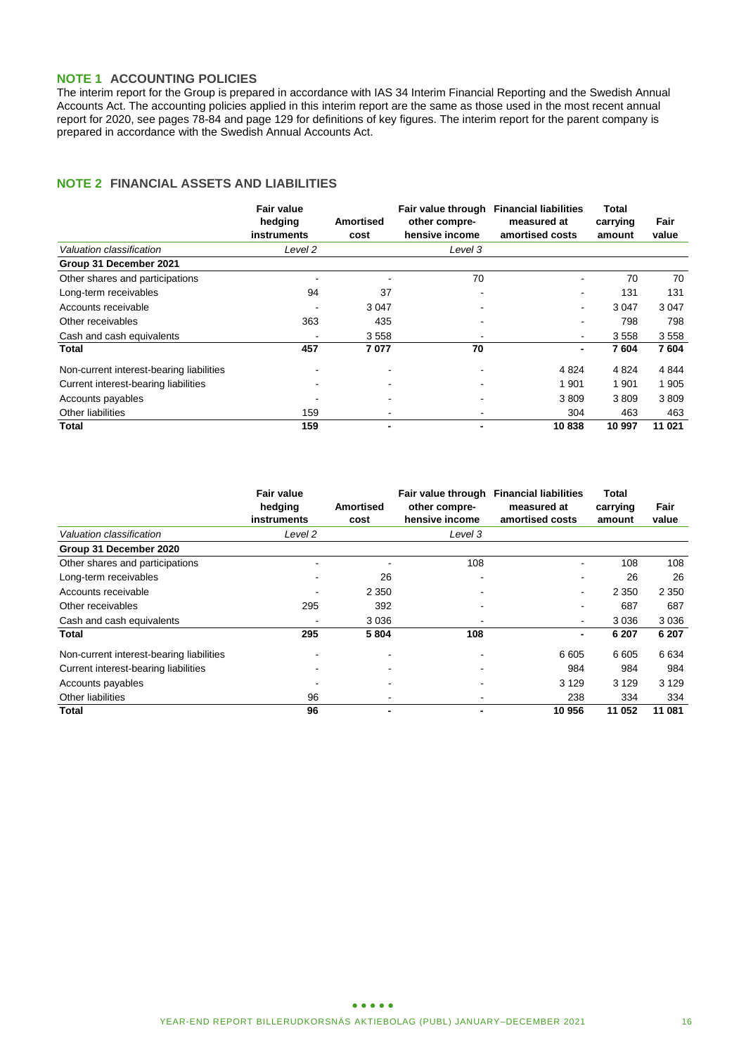# **NOTE 1 ACCOUNTING POLICIES**

The interim report for the Group is prepared in accordance with IAS 34 Interim Financial Reporting and the Swedish Annual Accounts Act. The accounting policies applied in this interim report are the same as those used in the most recent annual report for 2020, see pages 78-84 and page 129 for definitions of key figures. The interim report for the parent company is prepared in accordance with the Swedish Annual Accounts Act.

## **NOTE 2 FINANCIAL ASSETS AND LIABILITIES**

|                                          | <b>Fair value</b><br>hedging<br>instruments | <b>Amortised</b><br>cost | Fair value through<br>other compre-<br>hensive income | <b>Financial liabilities</b><br>measured at<br>amortised costs | Total<br>carrying<br>amount | Fair<br>value |
|------------------------------------------|---------------------------------------------|--------------------------|-------------------------------------------------------|----------------------------------------------------------------|-----------------------------|---------------|
| Valuation classification                 | Level 2                                     |                          | Level 3                                               |                                                                |                             |               |
| Group 31 December 2021                   |                                             |                          |                                                       |                                                                |                             |               |
| Other shares and participations          |                                             |                          | 70                                                    | ۰                                                              | 70                          | 70            |
| Long-term receivables                    | 94                                          | 37                       |                                                       |                                                                | 131                         | 131           |
| Accounts receivable                      |                                             | 3 0 4 7                  | -                                                     | ۰                                                              | 3 0 4 7                     | 3 0 4 7       |
| Other receivables                        | 363                                         | 435                      |                                                       | ۰                                                              | 798                         | 798           |
| Cash and cash equivalents                |                                             | 3558                     | -                                                     | ۰                                                              | 3558                        | 3558          |
| Total                                    | 457                                         | 7077                     | 70                                                    | $\blacksquare$                                                 | 7604                        | 7604          |
| Non-current interest-bearing liabilities |                                             |                          | $\blacksquare$                                        | 4 8 24                                                         | 4 8 24                      | 4 8 4 4       |
| Current interest-bearing liabilities     |                                             |                          |                                                       | 1 901                                                          | 1 901                       | 1 9 0 5       |
| Accounts payables                        |                                             |                          |                                                       | 3809                                                           | 3809                        | 3809          |
| Other liabilities                        | 159                                         | ۰                        | -                                                     | 304                                                            | 463                         | 463           |
| Total                                    | 159                                         |                          |                                                       | 10838                                                          | 10 997                      | 11 021        |

|                                          | <b>Fair value</b> |                  |                | Fair value through Financial liabilities | Total    |         |
|------------------------------------------|-------------------|------------------|----------------|------------------------------------------|----------|---------|
|                                          | hedging           | <b>Amortised</b> | other compre-  | measured at                              | carrying | Fair    |
|                                          | instruments       | cost             | hensive income | amortised costs                          | amount   | value   |
| Valuation classification                 | Level 2           |                  | Level 3        |                                          |          |         |
| Group 31 December 2020                   |                   |                  |                |                                          |          |         |
| Other shares and participations          |                   |                  | 108            | ۰                                        | 108      | 108     |
| Long-term receivables                    |                   | 26               |                |                                          | 26       | 26      |
| Accounts receivable                      |                   | 2 3 5 0          |                | ۰                                        | 2 3 5 0  | 2 3 5 0 |
| Other receivables                        | 295               | 392              |                |                                          | 687      | 687     |
| Cash and cash equivalents                |                   | 3 0 3 6          |                | $\overline{\phantom{a}}$                 | 3 0 3 6  | 3 0 3 6 |
| Total                                    | 295               | 5804             | 108            |                                          | 6 207    | 6 207   |
| Non-current interest-bearing liabilities |                   |                  |                | 6 6 0 5                                  | 6 6 0 5  | 6 6 3 4 |
| Current interest-bearing liabilities     |                   |                  |                | 984                                      | 984      | 984     |
| Accounts payables                        |                   |                  |                | 3 1 2 9                                  | 3 1 2 9  | 3 1 2 9 |
| Other liabilities                        | 96                |                  |                | 238                                      | 334      | 334     |
| Total                                    | 96                | -                |                | 10 956                                   | 11 052   | 11 081  |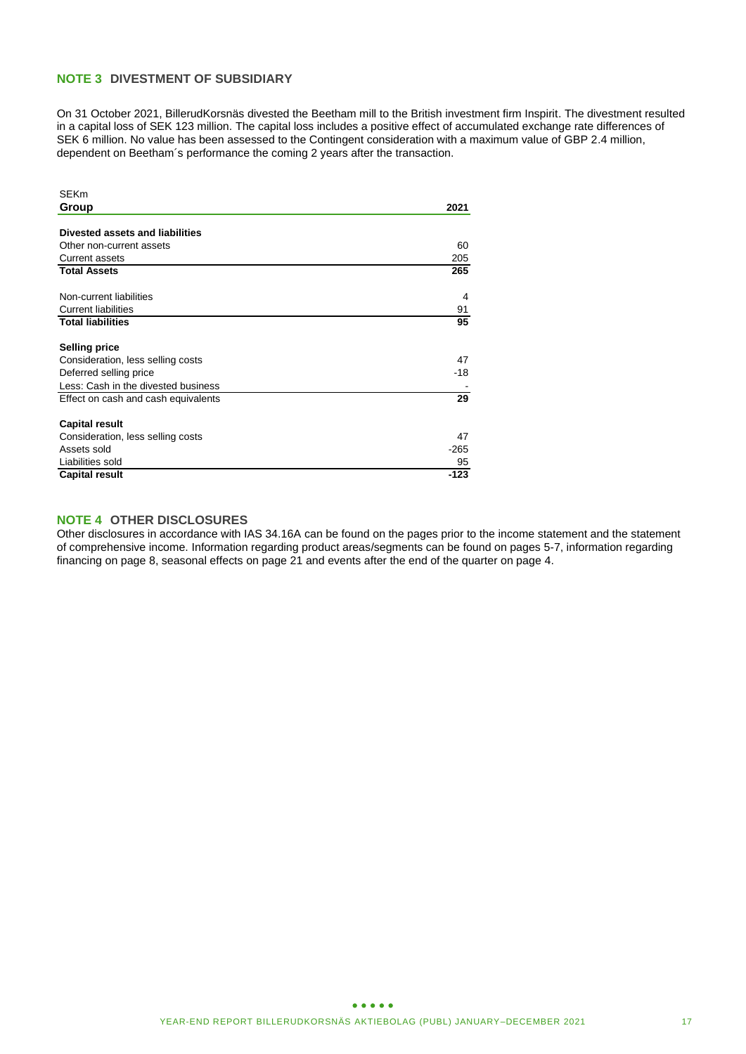# **NOTE 3 DIVESTMENT OF SUBSIDIARY**

On 31 October 2021, BillerudKorsnäs divested the Beetham mill to the British investment firm Inspirit. The divestment resulted in a capital loss of SEK 123 million. The capital loss includes a positive effect of accumulated exchange rate differences of SEK 6 million. No value has been assessed to the Contingent consideration with a maximum value of GBP 2.4 million, dependent on Beetham´s performance the coming 2 years after the transaction.

| <b>SEKm</b>                         |        |
|-------------------------------------|--------|
| Group                               | 2021   |
|                                     |        |
| Divested assets and liabilities     |        |
| Other non-current assets            | 60     |
| <b>Current assets</b>               | 205    |
| <b>Total Assets</b>                 | 265    |
| Non-current liabilities             | 4      |
| <b>Current liabilities</b>          | 91     |
| <b>Total liabilities</b>            | 95     |
| <b>Selling price</b>                |        |
| Consideration, less selling costs   | 47     |
| Deferred selling price              | -18    |
| Less: Cash in the divested business |        |
| Effect on cash and cash equivalents | 29     |
| <b>Capital result</b>               |        |
| Consideration, less selling costs   | 47     |
| Assets sold                         | $-265$ |
| Liabilities sold                    | 95     |
| <b>Capital result</b>               | $-123$ |

### **NOTE 4 OTHER DISCLOSURES**

Other disclosures in accordance with IAS 34.16A can be found on the pages prior to the income statement and the statement of comprehensive income. Information regarding product areas/segments can be found on pages 5-7, information regarding financing on page 8, seasonal effects on page 21 and events after the end of the quarter on page 4.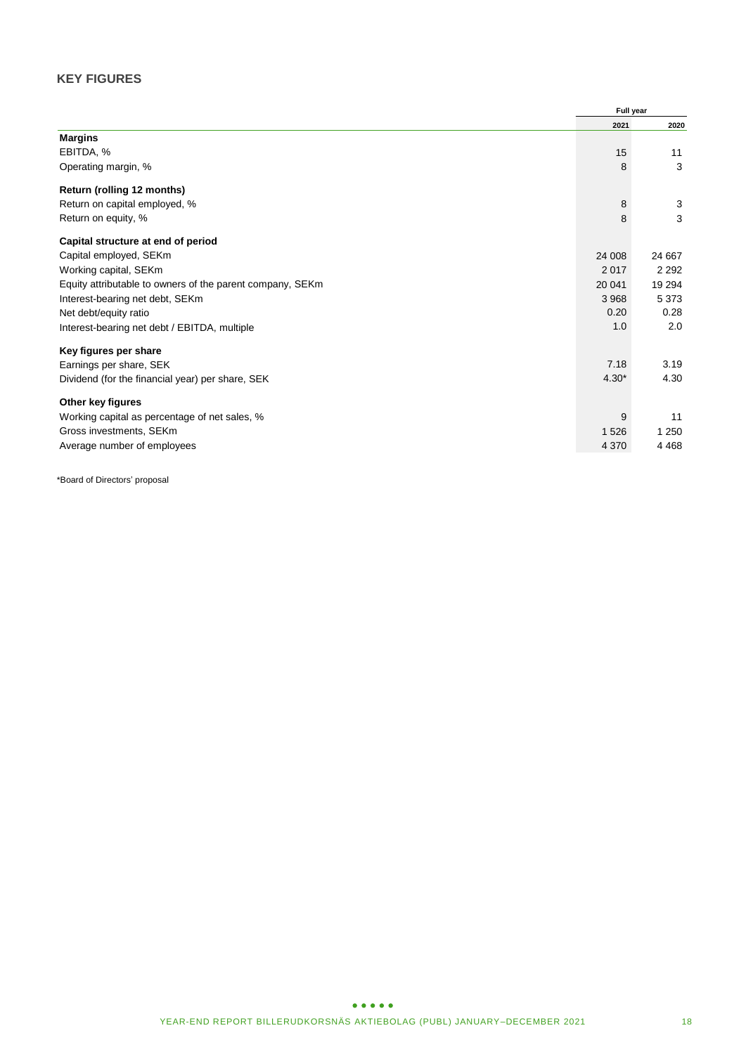# **KEY FIGURES**

|                                                           | Full year |         |
|-----------------------------------------------------------|-----------|---------|
|                                                           | 2021      | 2020    |
| <b>Margins</b>                                            |           |         |
| EBITDA, %                                                 | 15        | 11      |
| Operating margin, %                                       | 8         | 3       |
| Return (rolling 12 months)                                |           |         |
| Return on capital employed, %                             | 8         | 3       |
| Return on equity, %                                       | 8         | 3       |
| Capital structure at end of period                        |           |         |
| Capital employed, SEKm                                    | 24 008    | 24 667  |
| Working capital, SEKm                                     | 2017      | 2 2 9 2 |
| Equity attributable to owners of the parent company, SEKm | 20 041    | 19 294  |
| Interest-bearing net debt, SEKm                           | 3 9 6 8   | 5 3 7 3 |
| Net debt/equity ratio                                     | 0.20      | 0.28    |
| Interest-bearing net debt / EBITDA, multiple              | 1.0       | 2.0     |
| Key figures per share                                     |           |         |
| Earnings per share, SEK                                   | 7.18      | 3.19    |
| Dividend (for the financial year) per share, SEK          | $4.30*$   | 4.30    |
| Other key figures                                         |           |         |
| Working capital as percentage of net sales, %             | 9         | 11      |
| Gross investments, SEKm                                   | 1 5 2 6   | 1 2 5 0 |
| Average number of employees                               | 4 3 7 0   | 4 4 6 8 |

\*Board of Directors' proposal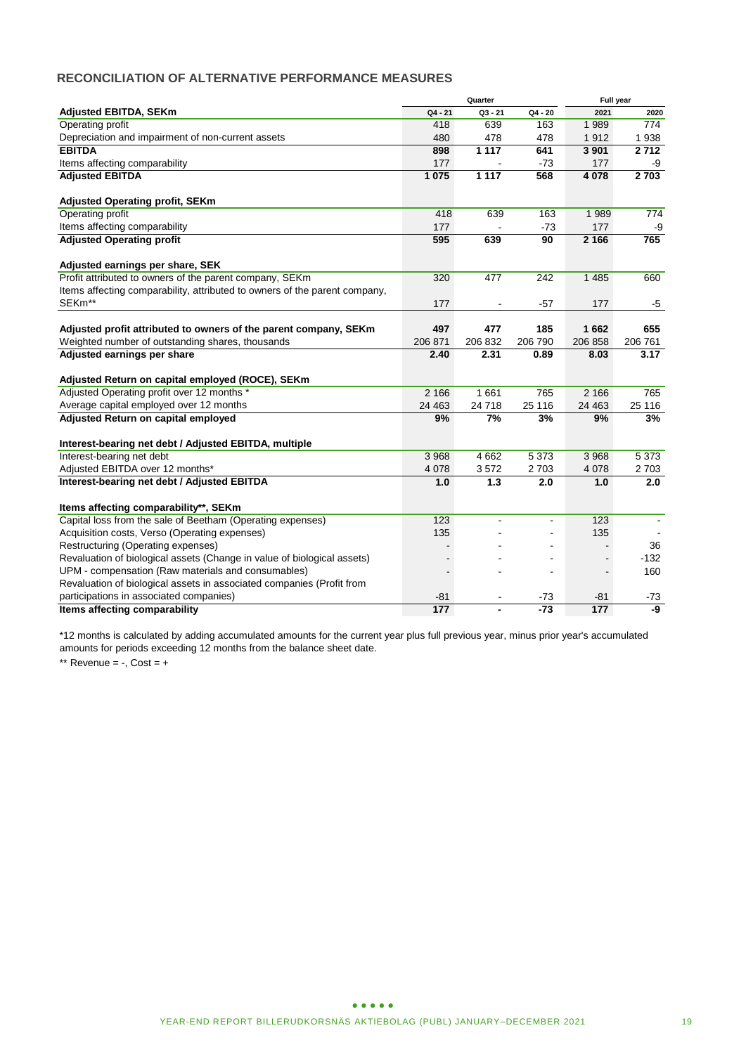# **RECONCILIATION OF ALTERNATIVE PERFORMANCE MEASURES**

|                                                                            |         | Quarter |         | Full year       |         |  |
|----------------------------------------------------------------------------|---------|---------|---------|-----------------|---------|--|
| <b>Adjusted EBITDA, SEKm</b>                                               | Q4 - 21 | Q3 - 21 | Q4 - 20 | 2021            | 2020    |  |
| Operating profit                                                           | 418     | 639     | 163     | 1989            | 774     |  |
| Depreciation and impairment of non-current assets                          | 480     | 478     | 478     | 1912            | 1938    |  |
| <b>EBITDA</b>                                                              | 898     | 1 1 1 7 | 641     | 3 9 0 1         | 2712    |  |
| Items affecting comparability                                              | 177     |         | $-73$   | 177             | -9      |  |
| <b>Adjusted EBITDA</b>                                                     | 1 075   | 1 1 1 7 | 568     | 4 0 78          | 2703    |  |
| <b>Adjusted Operating profit, SEKm</b>                                     |         |         |         |                 |         |  |
| Operating profit                                                           | 418     | 639     | 163     | 1989            | 774     |  |
| Items affecting comparability                                              | 177     |         | $-73$   | 177             | -9      |  |
| <b>Adjusted Operating profit</b>                                           | 595     | 639     | 90      | 2 166           | 765     |  |
| Adjusted earnings per share, SEK                                           |         |         |         |                 |         |  |
| Profit attributed to owners of the parent company, SEKm                    | 320     | 477     | 242     | 1 4 8 5         | 660     |  |
| Items affecting comparability, attributed to owners of the parent company, |         |         |         |                 |         |  |
| SEKm**                                                                     | 177     |         | $-57$   | 177             | $-5$    |  |
| Adjusted profit attributed to owners of the parent company, SEKm           | 497     | 477     | 185     | 1662            | 655     |  |
| Weighted number of outstanding shares, thousands                           | 206 871 | 206 832 | 206 790 | 206 858         | 206 761 |  |
| Adjusted earnings per share                                                | 2.40    | 2.31    | 0.89    | 8.03            | 3.17    |  |
|                                                                            |         |         |         |                 |         |  |
| Adjusted Return on capital employed (ROCE), SEKm                           |         |         |         |                 |         |  |
| Adjusted Operating profit over 12 months *                                 | 2 1 6 6 | 1 6 6 1 | 765     | 2 1 6 6         | 765     |  |
| Average capital employed over 12 months                                    | 24 4 63 | 24718   | 25 116  | 24 4 63         | 25 116  |  |
| Adjusted Return on capital employed                                        | 9%      | 7%      | 3%      | 9%              | 3%      |  |
| Interest-bearing net debt / Adjusted EBITDA, multiple                      |         |         |         |                 |         |  |
| Interest-bearing net debt                                                  | 3 9 6 8 | 4 6 6 2 | 5 3 7 3 | 3 9 6 8         | 5 3 7 3 |  |
| Adjusted EBITDA over 12 months*                                            | 4 0 78  | 3572    | 2703    | 4 0 78          | 2703    |  |
| Interest-bearing net debt / Adjusted EBITDA                                | 1.0     | 1.3     | 2.0     | 1.0             | 2.0     |  |
|                                                                            |         |         |         |                 |         |  |
| Items affecting comparability**, SEKm                                      | 123     |         | ÷       | 123             |         |  |
| Capital loss from the sale of Beetham (Operating expenses)                 | 135     |         |         | 135             |         |  |
| Acquisition costs, Verso (Operating expenses)                              |         |         |         |                 |         |  |
| Restructuring (Operating expenses)                                         |         |         |         |                 | 36      |  |
| Revaluation of biological assets (Change in value of biological assets)    |         |         |         |                 | $-132$  |  |
| UPM - compensation (Raw materials and consumables)                         |         |         | ä,      |                 | 160     |  |
| Revaluation of biological assets in associated companies (Profit from      |         |         |         |                 |         |  |
| participations in associated companies)                                    | $-81$   |         | $-73$   | $-81$           | $-73$   |  |
| Items affecting comparability                                              | 177     |         | $-73$   | $\frac{1}{177}$ | -9      |  |

\*12 months is calculated by adding accumulated amounts for the current year plus full previous year, minus prior year's accumulated amounts for periods exceeding 12 months from the balance sheet date.

\*\* Revenue =  $-$ , Cost =  $+$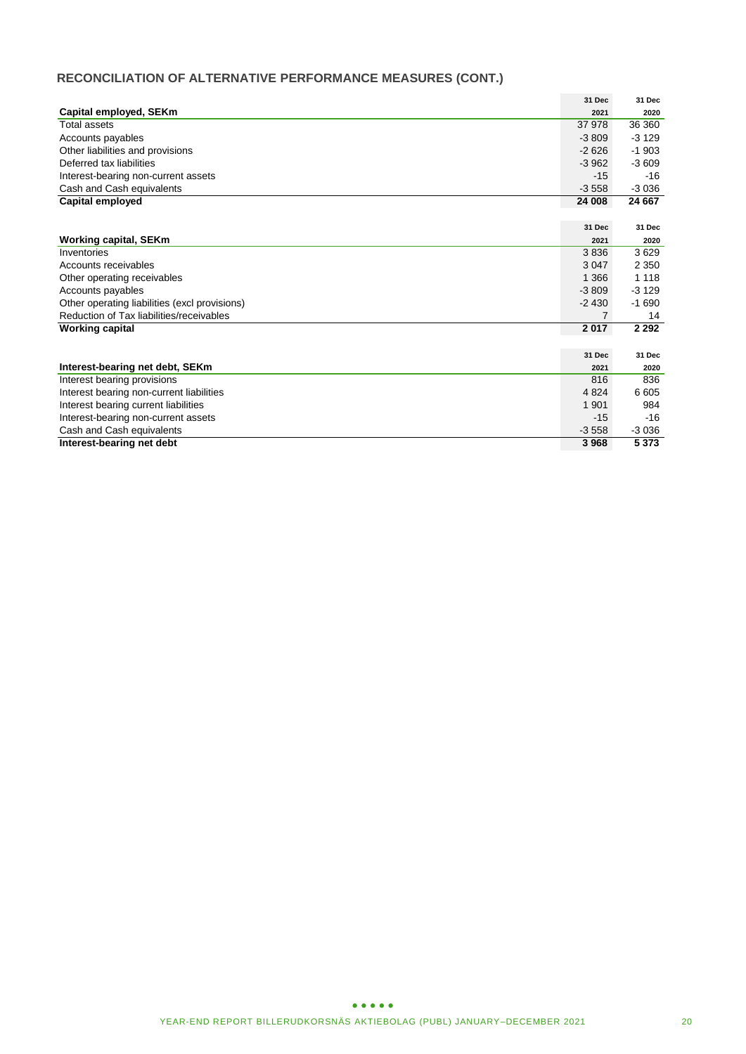# **RECONCILIATION OF ALTERNATIVE PERFORMANCE MEASURES (CONT.)**

|                                               | 31 Dec  | 31 Dec  |
|-----------------------------------------------|---------|---------|
| Capital employed, SEKm                        | 2021    | 2020    |
| Total assets                                  | 37 978  | 36 360  |
| Accounts payables                             | $-3809$ | $-3129$ |
| Other liabilities and provisions              | $-2626$ | $-1903$ |
| Deferred tax liabilities                      | $-3962$ | $-3609$ |
| Interest-bearing non-current assets           | $-15$   | $-16$   |
| Cash and Cash equivalents                     | $-3558$ | $-3036$ |
| Capital employed                              | 24 008  | 24 667  |
|                                               |         |         |
|                                               | 31 Dec  | 31 Dec  |
| <b>Working capital, SEKm</b>                  | 2021    | 2020    |
| Inventories                                   | 3836    | 3629    |
| Accounts receivables                          | 3 0 4 7 | 2 3 5 0 |
| Other operating receivables                   | 1 3 6 6 | 1 1 1 8 |
| Accounts payables                             | $-3809$ | $-3129$ |
| Other operating liabilities (excl provisions) | $-2430$ | $-1690$ |
| Reduction of Tax liabilities/receivables      | 7       | 14      |
| <b>Working capital</b>                        | 2017    | 2 2 9 2 |
|                                               |         |         |
|                                               | 31 Dec  | 31 Dec  |
| Interest-bearing net debt, SEKm               | 2021    | 2020    |
| <b>Interest bearing provisions</b>            | 816     | 836     |
| Interest bearing non-current liabilities      | 4 8 24  | 6 6 0 5 |
| Interest bearing current liabilities          | 1 901   | 984     |
| Interest-bearing non-current assets           | $-15$   | $-16$   |
| Cash and Cash equivalents                     | $-3558$ | $-3036$ |
| Interest-bearing net debt                     | 3 9 6 8 | 5 3 7 3 |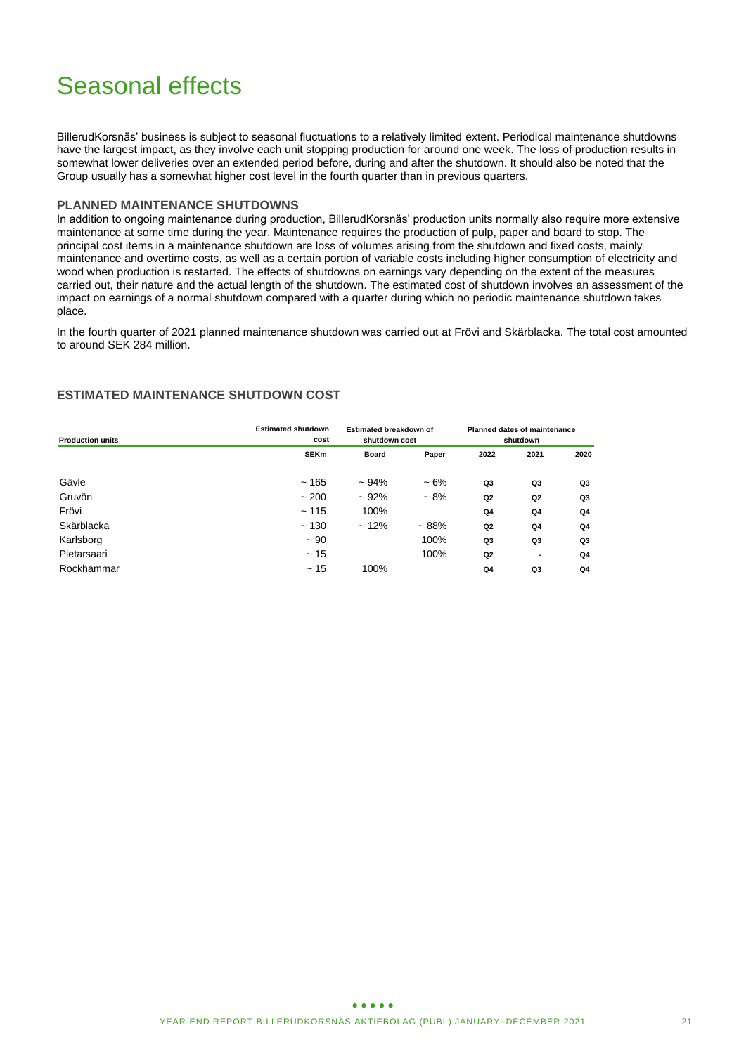# Seasonal effects

BillerudKorsnäs' business is subject to seasonal fluctuations to a relatively limited extent. Periodical maintenance shutdowns have the largest impact, as they involve each unit stopping production for around one week. The loss of production results in somewhat lower deliveries over an extended period before, during and after the shutdown. It should also be noted that the Group usually has a somewhat higher cost level in the fourth quarter than in previous quarters.

#### **PLANNED MAINTENANCE SHUTDOWNS**

In addition to ongoing maintenance during production, BillerudKorsnäs' production units normally also require more extensive maintenance at some time during the year. Maintenance requires the production of pulp, paper and board to stop. The principal cost items in a maintenance shutdown are loss of volumes arising from the shutdown and fixed costs, mainly maintenance and overtime costs, as well as a certain portion of variable costs including higher consumption of electricity and wood when production is restarted. The effects of shutdowns on earnings vary depending on the extent of the measures carried out, their nature and the actual length of the shutdown. The estimated cost of shutdown involves an assessment of the impact on earnings of a normal shutdown compared with a quarter during which no periodic maintenance shutdown takes place.

In the fourth quarter of 2021 planned maintenance shutdown was carried out at Frövi and Skärblacka. The total cost amounted to around SEK 284 million.

### **ESTIMATED MAINTENANCE SHUTDOWN COST**

| <b>Production units</b> | <b>Estimated shutdown</b><br>cost | Estimated breakdown of<br>shutdown cost |               | <b>Planned dates of maintenance</b><br>shutdown |      |      |
|-------------------------|-----------------------------------|-----------------------------------------|---------------|-------------------------------------------------|------|------|
|                         | <b>SEKm</b>                       | <b>Board</b>                            | Paper         | 2022                                            | 2021 | 2020 |
| Gävle                   | ~165                              | $~104\%$                                | $~10^{\circ}$ | Q3                                              | Q3   | Q3   |
| Gruvön                  | $~1$ 200                          | $~102\%$                                | $-8%$         | Q2                                              | Q2   | Q3   |
| Frövi                   | ~115                              | 100%                                    |               | Q <sub>4</sub>                                  | Q4   | Q4   |
| Skärblacka              | ~130                              | $~12\%$                                 | $-88%$        | Q2                                              | Q4   | Q4   |
| Karlsborg               | $~1$ 90                           |                                         | 100%          | Q3                                              | Q3   | Q3   |
| Pietarsaari             | ~15                               |                                         | 100%          | Q2                                              |      | Q4   |
| Rockhammar              | ~15                               | 100%                                    |               | Q <sub>4</sub>                                  | Q3   | Q4   |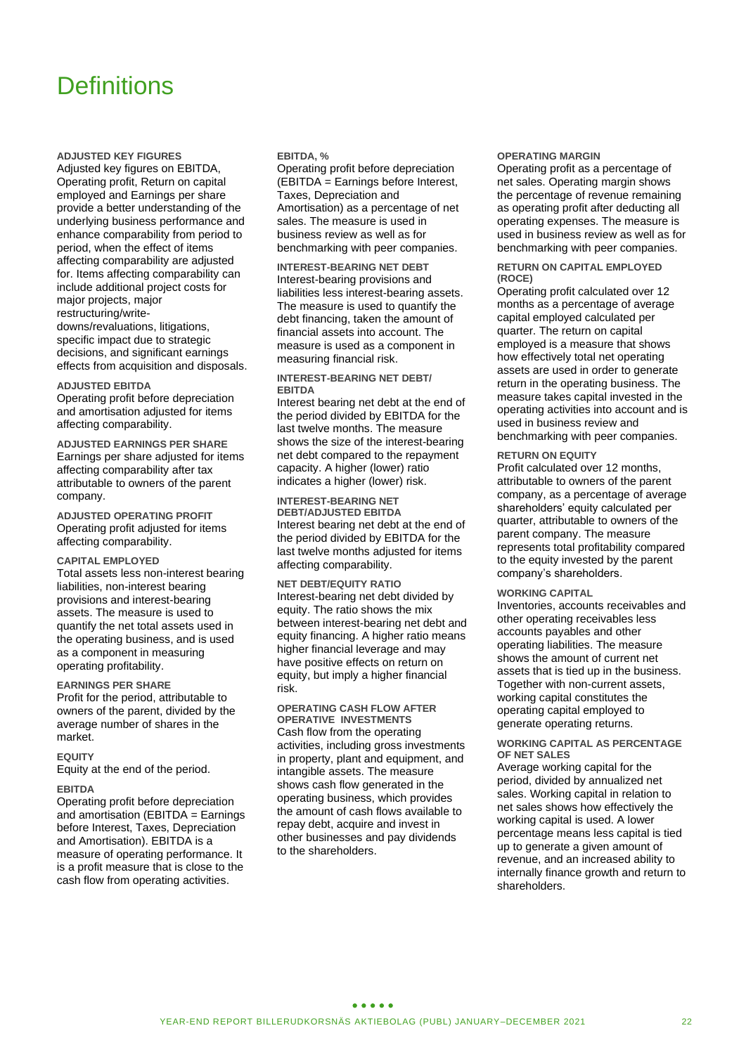# **Definitions**

#### **ADJUSTED KEY FIGURES**

Adjusted key figures on EBITDA, Operating profit, Return on capital employed and Earnings per share provide a better understanding of the underlying business performance and enhance comparability from period to period, when the effect of items affecting comparability are adjusted for. Items affecting comparability can include additional project costs for major projects, major restructuring/writedowns/revaluations, litigations, specific impact due to strategic decisions, and significant earnings effects from acquisition and disposals.

#### **ADJUSTED EBITDA**

Operating profit before depreciation and amortisation adjusted for items affecting comparability.

**ADJUSTED EARNINGS PER SHARE** Earnings per share adjusted for items affecting comparability after tax attributable to owners of the parent company.

**ADJUSTED OPERATING PROFIT** Operating profit adjusted for items affecting comparability.

#### **CAPITAL EMPLOYED**

Total assets less non-interest bearing liabilities, non-interest bearing provisions and interest-bearing assets. The measure is used to quantify the net total assets used in the operating business, and is used as a component in measuring operating profitability.

#### **EARNINGS PER SHARE**

Profit for the period, attributable to owners of the parent, divided by the average number of shares in the market.

#### **EQUITY**

Equity at the end of the period.

#### **EBITDA**

Operating profit before depreciation and amortisation (EBITDA = Earnings before Interest, Taxes, Depreciation and Amortisation). EBITDA is a measure of operating performance. It is a profit measure that is close to the cash flow from operating activities.

#### **EBITDA, %**

Operating profit before depreciation (EBITDA = Earnings before Interest, Taxes, Depreciation and Amortisation) as a percentage of net sales. The measure is used in business review as well as for benchmarking with peer companies.

**INTEREST-BEARING NET DEBT** Interest-bearing provisions and liabilities less interest-bearing assets. The measure is used to quantify the debt financing, taken the amount of financial assets into account. The measure is used as a component in measuring financial risk.

#### **INTEREST-BEARING NET DEBT/ EBITDA**

Interest bearing net debt at the end of the period divided by EBITDA for the last twelve months. The measure shows the size of the interest-bearing net debt compared to the repayment capacity. A higher (lower) ratio indicates a higher (lower) risk.

## **INTEREST-BEARING NET**

**DEBT/ADJUSTED EBITDA** Interest bearing net debt at the end of the period divided by EBITDA for the last twelve months adjusted for items affecting comparability.

# **NET DEBT/EQUITY RATIO**

Interest-bearing net debt divided by equity. The ratio shows the mix between interest-bearing net debt and equity financing. A higher ratio means higher financial leverage and may have positive effects on return on equity, but imply a higher financial risk.

# **OPERATING CASH FLOW AFTER**

**OPERATIVE INVESTMENTS** Cash flow from the operating activities, including gross investments in property, plant and equipment, and intangible assets. The measure shows cash flow generated in the operating business, which provides the amount of cash flows available to repay debt, acquire and invest in other businesses and pay dividends to the shareholders.

#### **OPERATING MARGIN**

Operating profit as a percentage of net sales. Operating margin shows the percentage of revenue remaining as operating profit after deducting all operating expenses. The measure is used in business review as well as for benchmarking with peer companies.

#### **RETURN ON CAPITAL EMPLOYED (ROCE)**

Operating profit calculated over 12 months as a percentage of average capital employed calculated per quarter. The return on capital employed is a measure that shows how effectively total net operating assets are used in order to generate return in the operating business. The measure takes capital invested in the operating activities into account and is used in business review and benchmarking with peer companies.

#### **RETURN ON EQUITY**

Profit calculated over 12 months, attributable to owners of the parent company, as a percentage of average shareholders' equity calculated per quarter, attributable to owners of the parent company. The measure represents total profitability compared to the equity invested by the parent company's shareholders.

#### **WORKING CAPITAL**

Inventories, accounts receivables and other operating receivables less accounts payables and other operating liabilities. The measure shows the amount of current net assets that is tied up in the business. Together with non-current assets, working capital constitutes the operating capital employed to generate operating returns.

#### **WORKING CAPITAL AS PERCENTAGE OF NET SALES**

Average working capital for the period, divided by annualized net sales. Working capital in relation to net sales shows how effectively the working capital is used. A lower percentage means less capital is tied up to generate a given amount of revenue, and an increased ability to internally finance growth and return to shareholders.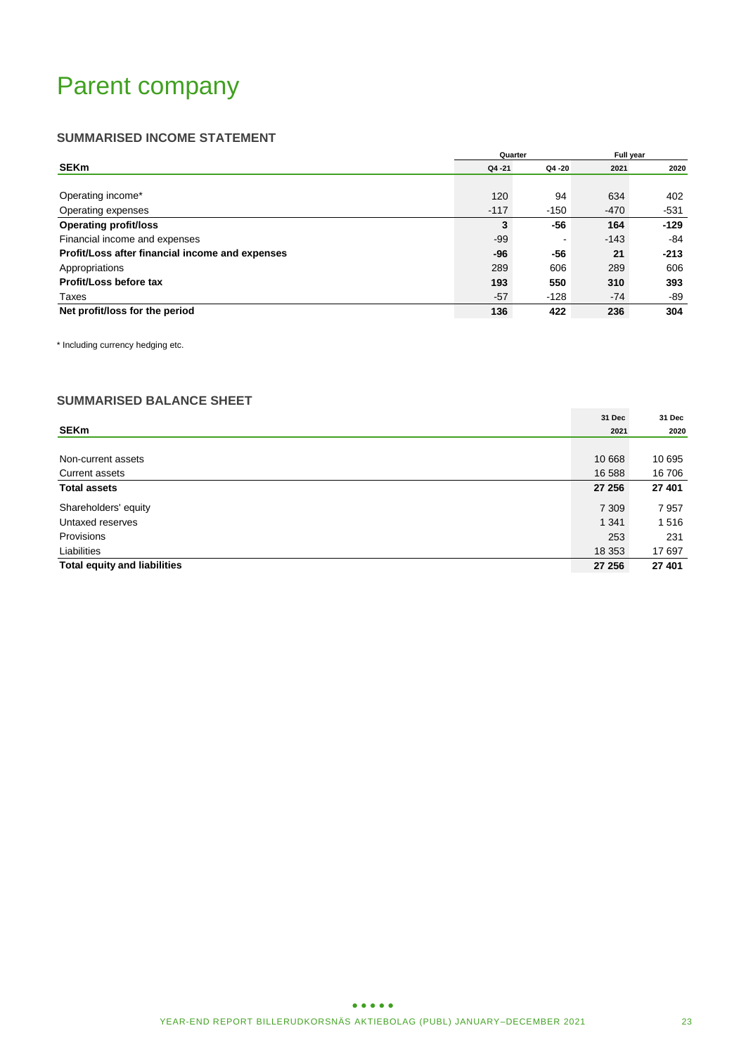# Parent company

# **SUMMARISED INCOME STATEMENT**

|                                                 | Quarter   |        | Full year |        |  |
|-------------------------------------------------|-----------|--------|-----------|--------|--|
| <b>SEKm</b>                                     | $Q4 - 21$ | Q4 -20 | 2021      | 2020   |  |
|                                                 |           |        |           |        |  |
| Operating income*                               | 120       | 94     | 634       | 402    |  |
| Operating expenses                              | $-117$    | $-150$ | $-470$    | $-531$ |  |
| <b>Operating profit/loss</b>                    | 3         | -56    | 164       | $-129$ |  |
| Financial income and expenses                   | $-99$     | -      | $-143$    | -84    |  |
| Profit/Loss after financial income and expenses | $-96$     | -56    | 21        | $-213$ |  |
| Appropriations                                  | 289       | 606    | 289       | 606    |  |
| Profit/Loss before tax                          | 193       | 550    | 310       | 393    |  |
| Taxes                                           | $-57$     | $-128$ | -74       | -89    |  |
| Net profit/loss for the period                  | 136       | 422    | 236       | 304    |  |

\* Including currency hedging etc.

# **SUMMARISED BALANCE SHEET**

|                                     | 31 Dec  | 31 Dec |
|-------------------------------------|---------|--------|
| <b>SEKm</b>                         | 2021    | 2020   |
|                                     |         |        |
| Non-current assets                  | 10 668  | 10 695 |
| <b>Current assets</b>               | 16 588  | 16 706 |
| <b>Total assets</b>                 | 27 256  | 27 401 |
| Shareholders' equity                | 7 3 0 9 | 7957   |
| Untaxed reserves                    | 1 3 4 1 | 1516   |
| Provisions                          | 253     | 231    |
| Liabilities                         | 18 3 53 | 17697  |
| <b>Total equity and liabilities</b> | 27 256  | 27 401 |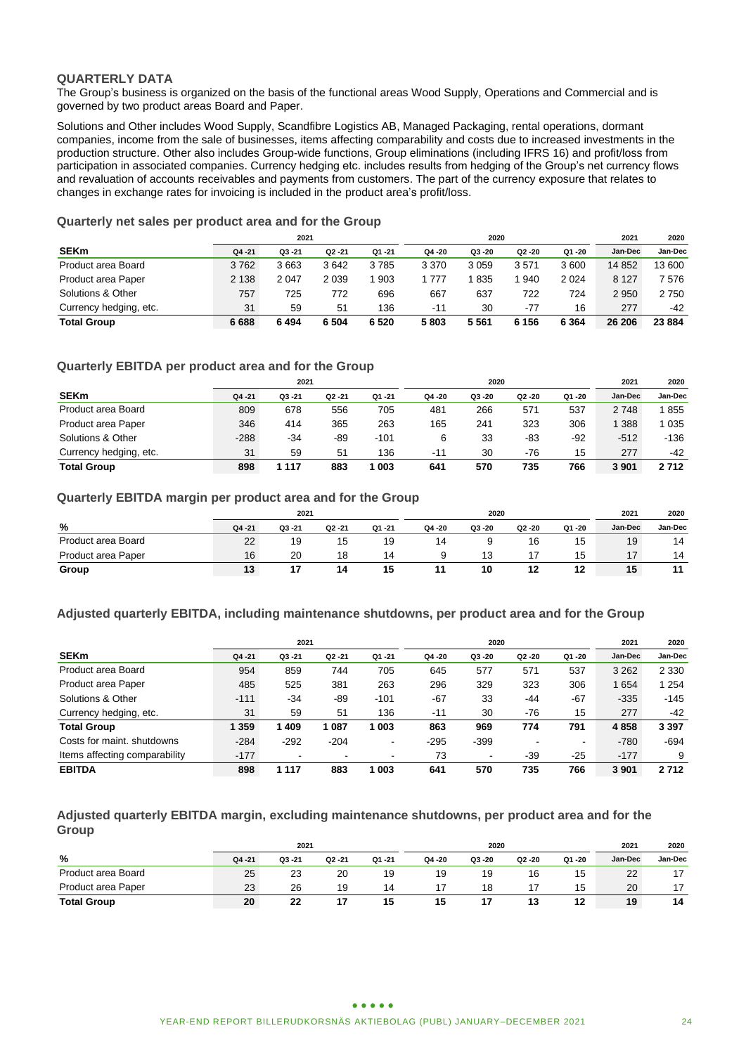### **QUARTERLY DATA**

The Group's business is organized on the basis of the functional areas Wood Supply, Operations and Commercial and is governed by two product areas Board and Paper.

Solutions and Other includes Wood Supply, Scandfibre Logistics AB, Managed Packaging, rental operations, dormant companies, income from the sale of businesses, items affecting comparability and costs due to increased investments in the production structure. Other also includes Group-wide functions, Group eliminations (including IFRS 16) and profit/loss from participation in associated companies. Currency hedging etc. includes results from hedging of the Group's net currency flows and revaluation of accounts receivables and payments from customers. The part of the currency exposure that relates to changes in exchange rates for invoicing is included in the product area's profit/loss.

|                        | 2021    |           |           | 2020      |         |         |        | 2021    | 2020    |         |
|------------------------|---------|-----------|-----------|-----------|---------|---------|--------|---------|---------|---------|
| <b>SEKm</b>            | Q4 -21  | $Q3 - 21$ | $Q2 - 21$ | $Q1 - 21$ | Q4 -20  | Q3 -20  | Q2 -20 | Q1 -20  | Jan-Dec | Jan-Dec |
| Product area Board     | 3762    | 3663      | 3642      | 3785      | 3 3 7 0 | 3059    | 3571   | 3600    | 14 852  | 13 600  |
| Product area Paper     | 2 1 3 8 | 2047      | 2 0 3 9   | 903       | 777     | 835     | 940    | 2024    | 8 1 2 7 | 7 576   |
| Solutions & Other      | 757     | 725       | 772       | 696       | 667     | 637     | 722    | 724     | 2 9 5 0 | 2750    |
| Currency hedging, etc. | 31      | 59        | 51        | 136       | $-11$   | 30      | -77    | 16      | 277     | -42     |
| <b>Total Group</b>     | 6688    | 6494      | 6 5 0 4   | 6 5 20    | 5803    | 5 5 6 1 | 6 156  | 6 3 6 4 | 26 206  | 23 884  |

# **Quarterly net sales per product area and for the Group**

### **Quarterly EBITDA per product area and for the Group**

|                        |        | 2021      |           |        |        | 2020   |        |        | 2021    | 2020    |
|------------------------|--------|-----------|-----------|--------|--------|--------|--------|--------|---------|---------|
| <b>SEKm</b>            | Q4 -21 | $Q3 - 21$ | $Q2 - 21$ | Q1-21  | Q4 -20 | Q3 -20 | Q2 -20 | Q1 -20 | Jan-Dec | Jan-Dec |
| Product area Board     | 809    | 678       | 556       | 705    | 481    | 266    | 571    | 537    | 2748    | 855     |
| Product area Paper     | 346    | 414       | 365       | 263    | 165    | 241    | 323    | 306    | 388     | 1 035   |
| Solutions & Other      | $-288$ | -34       | -89       | $-101$ | 6      | 33     | -83    | $-92$  | $-512$  | $-136$  |
| Currency hedging, etc. | 31     | 59        | 51        | 136    | $-11$  | 30     | -76    | 15     | 277     | -42     |
| <b>Total Group</b>     | 898    | 1 1 1 7   | 883       | 1 003  | 641    | 570    | 735    | 766    | 3 901   | 2712    |

### **Quarterly EBITDA margin per product area and for the Group**

| 2021               |        |           |           |       | 2020   | 2021   | 2020   |        |         |         |
|--------------------|--------|-----------|-----------|-------|--------|--------|--------|--------|---------|---------|
| %                  | Q4 -21 | $Q3 - 21$ | $Q2 - 21$ | Q1-21 | Q4 -20 | Q3 -20 | Q2 -20 | Q1 -20 | Jan-Dec | Jan-Dec |
| Product area Board | 22     | 19        | 15        | 19    | 14     |        | 16     | 15     | 19      | 14      |
| Product area Paper | 16     | 20        | 18        | 14    |        |        |        | 15     | 17      | 14      |
| Group              | 13     | 17        | 14        | 15    |        | 10     | 12     | 12     | 15      | 11      |

### **Adjusted quarterly EBITDA, including maintenance shutdowns, per product area and for the Group**

|                               |        | 2021      |           | 2020                     | 2021   | 2020      |           |                          |         |         |
|-------------------------------|--------|-----------|-----------|--------------------------|--------|-----------|-----------|--------------------------|---------|---------|
| <b>SEKm</b>                   | Q4 -21 | $Q3 - 21$ | $Q2 - 21$ | $Q1 - 21$                | Q4 -20 | $Q3 - 20$ | $Q2 - 20$ | Q1 -20                   | Jan-Dec | Jan-Dec |
| Product area Board            | 954    | 859       | 744       | 705                      | 645    | 577       | 571       | 537                      | 3 2 6 2 | 2 3 3 0 |
| Product area Paper            | 485    | 525       | 381       | 263                      | 296    | 329       | 323       | 306                      | 1 6 5 4 | 1 254   |
| Solutions & Other             | $-111$ | $-34$     | -89       | $-101$                   | -67    | 33        | -44       | $-67$                    | $-335$  | $-145$  |
| Currency hedging, etc.        | 31     | 59        | 51        | 136                      | $-11$  | 30        | $-76$     | 15                       | 277     | $-42$   |
| <b>Total Group</b>            | 359    | 409       | 1 0 8 7   | 1 003                    | 863    | 969       | 774       | 791                      | 4858    | 3 3 9 7 |
| Costs for maint, shutdowns    | $-284$ | $-292$    | $-204$    | $\overline{\phantom{a}}$ | $-295$ | $-399$    |           | $\overline{\phantom{0}}$ | $-780$  | $-694$  |
| Items affecting comparability | $-177$ |           |           | $\overline{\phantom{0}}$ | 73     | ٠         | $-39$     | $-25$                    | $-177$  | 9       |
| <b>EBITDA</b>                 | 898    | 1 1 1 7   | 883       | 1 003                    | 641    | 570       | 735       | 766                      | 3 9 0 1 | 2712    |

**Adjusted quarterly EBITDA margin, excluding maintenance shutdowns, per product area and for the Group**

|                    | 2021   |           |           |           |        | 2020   | 2021   | 2020   |         |         |
|--------------------|--------|-----------|-----------|-----------|--------|--------|--------|--------|---------|---------|
| %                  | Q4 -21 | $Q3 - 21$ | $Q2 - 21$ | $Q1 - 21$ | Q4 -20 | Q3 -20 | Q2 -20 | Q1 -20 | Jan-Dec | Jan-Dec |
| Product area Board | 25     | 23        | 20        | 19        | 19     | 19     | 16     | 15     | 22      | 17      |
| Product area Paper | 23     | 26        | 19        | 14        |        | 18     |        | 15     | 20      | 17      |
| <b>Total Group</b> | 20     | 22        | 17        | 15        | 15     |        | 13     | 12     | 19      | 14      |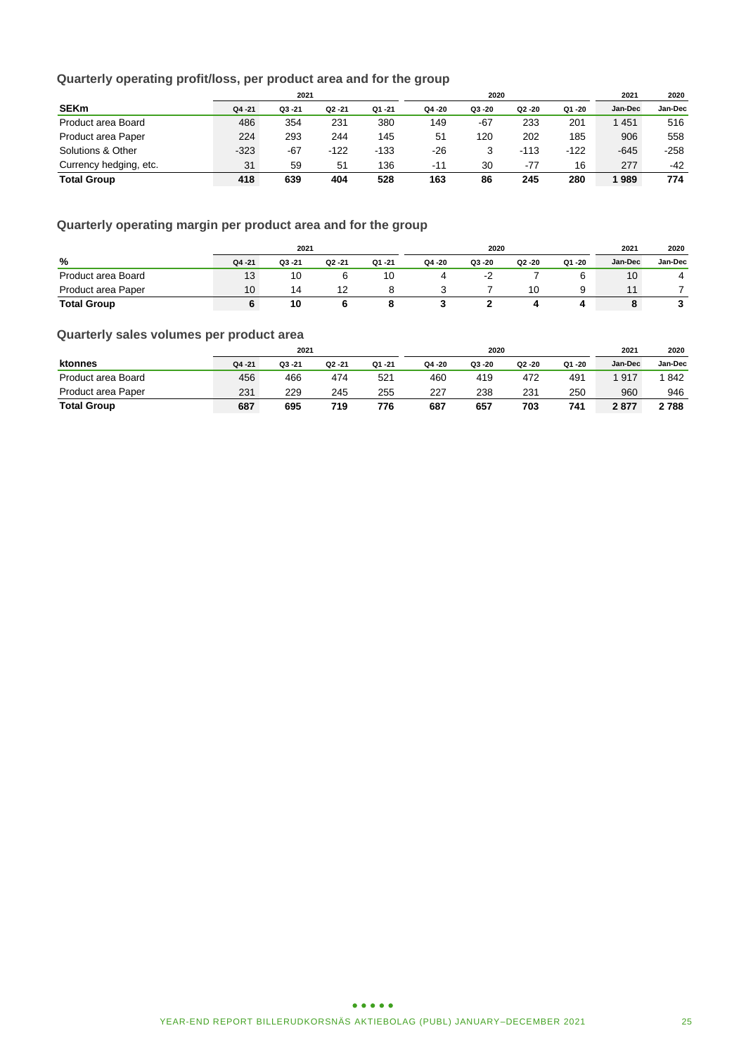# **Quarterly operating profit/loss, per product area and for the group**

|                        | 2021   |           |           |           | 2020   |        |        |        | 2021    | 2020    |
|------------------------|--------|-----------|-----------|-----------|--------|--------|--------|--------|---------|---------|
| <b>SEKm</b>            | Q4 -21 | $Q3 - 21$ | $Q2 - 21$ | $Q1 - 21$ | Q4 -20 | Q3 -20 | Q2 -20 | Q1-20  | Jan-Dec | Jan-Dec |
| Product area Board     | 486    | 354       | 231       | 380       | 149    | -67    | 233    | 201    | 1 451   | 516     |
| Product area Paper     | 224    | 293       | 244       | 145       | 51     | 120    | 202    | 185    | 906     | 558     |
| Solutions & Other      | $-323$ | $-67$     | $-122$    | $-133$    | -26    | 3      | $-113$ | $-122$ | $-645$  | $-258$  |
| Currency hedging, etc. | 31     | 59        | 51        | 136       | $-11$  | 30     | $-77$  | 16     | 277     | $-42$   |
| <b>Total Group</b>     | 418    | 639       | 404       | 528       | 163    | 86     | 245    | 280    | 1989    | 774     |

# **Quarterly operating margin per product area and for the group**

|                    |              | 2021      |        |       |        | 2020   |        |        |                 | 2020    |
|--------------------|--------------|-----------|--------|-------|--------|--------|--------|--------|-----------------|---------|
| %                  | Q4 -21       | $Q3 - 21$ | Q2 -21 | Q1-21 | Q4 -20 | Q3 -20 | Q2 -20 | Q1 -20 | Jan-Dec         | Jan-Dec |
| Product area Board | 13           | 10        |        | 10    | 4      |        |        |        | 10 <sup>°</sup> | 4       |
| Product area Paper | $10^{\circ}$ | 14        | 12     |       |        |        | 10     | a      |                 |         |
| <b>Total Group</b> |              | 10        |        |       |        |        |        |        |                 |         |

# **Quarterly sales volumes per product area**

|                    | 2021   |           |           |           |        | 2020   | 2021   | 2020   |         |         |
|--------------------|--------|-----------|-----------|-----------|--------|--------|--------|--------|---------|---------|
| ktonnes            | Q4 -21 | $Q3 - 21$ | $Q2 - 21$ | $Q1 - 21$ | Q4 -20 | Q3 -20 | Q2 -20 | Q1 -20 | Jan-Dec | Jan-Dec |
| Product area Board | 456    | 466       | 474       | 521       | 460    | 419    | 472    | 491    | 1917    | 842     |
| Product area Paper | 231    | 229       | 245       | 255       | 227    | 238    | 231    | 250    | 960     | 946     |
| <b>Total Group</b> | 687    | 695       | 719       | 776       | 687    | 657    | 703    | 741    | 2877    | 2788    |